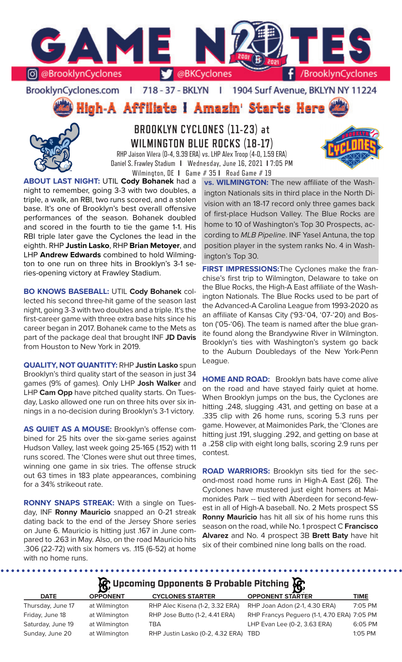

### BrooklynCyclones.com | 718 - 37 - BKLYN - F 1904 Surf Avenue, BKLYN NY 11224

High-A Affiliate I Amazin' Starts Here



**BROOKLYN CYCLONES (11-23) at WILMINGTON BLUE ROCKS (18-17)** RHP Jaison Vilera (0-4, 9.39 ERA) vs. LHP Alex Troop (4-0, 1.59 ERA) Daniel S. Frawley Stadium **I** Wednesday, June 16, 2021 **I** 7:05 PM

Wilmington, DE **I** Game # 35 **I** Road Game # 19

**ABOUT LAST NIGHT:** UTIL **Cody Bohanek** had a night to remember, going 3-3 with two doubles, a triple, a walk, an RBI, two runs scored, and a stolen base. It's one of Brooklyn's best overall offensive performances of the season. Bohanek doubled and scored in the fourth to tie the game 1-1. His RBI triple later gave the Cyclones the lead in the eighth. RHP **Justin Lasko**, RHP **Brian Metoyer**, and LHP **Andrew Edwards** combined to hold Wilmington to one run on three hits in Brooklyn's 3-1 series-opening victory at Frawley Stadium.

**BO KNOWS BASEBALL:** UTIL **Cody Bohanek** collected his second three-hit game of the season last night, going 3-3 with two doubles and a triple. It's the first-career game with three extra base hits since his career began in 2017. Bohanek came to the Mets as part of the package deal that brought INF **JD Davis** from Houston to New York in 2019.

**QUALITY, NOT QUANTITY:** RHP **Justin Lasko** spun Brooklyn's third quality start of the season in just 34 games (9% of games). Only LHP **Josh Walker** and LHP **Cam Opp** have pitched quality starts. On Tuesday, Lasko allowed one run on three hits over six innings in a no-decision during Brooklyn's 3-1 victory.

**AS QUIET AS A MOUSE:** Brooklyn's offense combined for 25 hits over the six-game series against Hudson Valley, last week going 25-165 (.152) with 11 runs scored. The 'Clones were shut out three times, winning one game in six tries. The offense struck out 63 times in 183 plate appearances, combining for a 34% strikeout rate.

**RONNY SNAPS STREAK:** With a single on Tuesday, INF **Ronny Mauricio** snapped an 0-21 streak dating back to the end of the Jersey Shore series on June 6. Mauricio is hitting just .167 in June compared to .263 in May. Also, on the road Mauricio hits .306 (22-72) with six homers vs. .115 (6-52) at home with no home runs.

.........

**vs. WILMINGTON:** The new affiliate of the Washington Nationals sits in third place in the North Division with an 18-17 record only three games back of first-place Hudson Valley. The Blue Rocks are home to 10 of Washington's Top 30 Prospects, according to *MLB Pipeline*. INF Yasel Antuna, the top position player in the system ranks No. 4 in Washington's Top 30.

**FIRST IMPRESSIONS:**The Cyclones make the franchise's first trip to Wilmington, Delaware to take on the Blue Rocks, the High-A East affiliate of the Washington Nationals. The Blue Rocks used to be part of the Advanced-A Carolina League from 1993-2020 as an affiliate of Kansas City ('93-'04, '07-'20) and Boston ('05-'06). The team is named after the blue granite found along the Brandywine River in Wilmington. Brooklyn's ties with Washington's system go back to the Auburn Doubledays of the New York-Penn League.

**HOME AND ROAD:** Brooklyn bats have come alive on the road and have stayed fairly quiet at home. When Brooklyn jumps on the bus, the Cyclones are hitting .248, slugging .431, and getting on base at a .335 clip with 26 home runs, scoring 5.3 runs per game. However, at Maimonides Park, the 'Clones are hitting just .191, slugging .292, and getting on base at a .258 clip with eight long balls, scoring 2.9 runs per contest.

**ROAD WARRIORS:** Brooklyn sits tied for the second-most road home runs in High-A East (26). The Cyclones have mustered just eight homers at Maimonides Park -- tied with Aberdeen for second-fewest in all of High-A baseball. No. 2 Mets prospect SS **Ronny Mauricio** has hit all six of his home runs this season on the road, while No. 1 prospect C **Francisco Alvarez** and No. 4 prospect 3B **Brett Baty** have hit six of their combined nine long balls on the road.

**Upcoming Opponents & Probable Pitching**

| <b>DATE</b>       | <b>OPPONENT</b> | <b>CYCLONES STARTER</b>              | $\sim$<br><b>OPPONENT STARTER</b>           | TIME      |
|-------------------|-----------------|--------------------------------------|---------------------------------------------|-----------|
| Thursday, June 17 | at Wilmington   | RHP Alec Kisena (1-2, 3.32 ERA)      | RHP Joan Adon (2-1, 4.30 ERA)               | 7:05 PM   |
| Friday, June 18   | at Wilmington   | RHP Jose Butto (1-2, 4.41 ERA)       | RHP Francys Peguero (1-1, 4.70 ERA) 7:05 PM |           |
| Saturday, June 19 | at Wilmington   | TBA                                  | LHP Evan Lee (0-2, 3.63 ERA)                | 6:05 PM   |
| Sunday, June 20   | at Wilmington   | RHP Justin Lasko (0-2, 4.32 ERA) TBD |                                             | $1:05$ PM |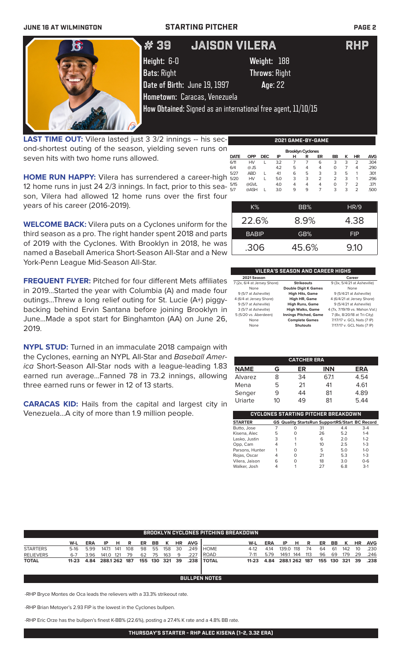

LAST TIME OUT: Vilera lasted just 3 3/2 innings -- his second-shortest outing of the season, yielding seven runs on seven hits with two home runs allowed.

**HOME RUN HAPPY:** Vilera has surrendered a career-high 12 home runs in just 24 2/3 innings. In fact, prior to this season, Vilera had allowed 12 home runs over the first four years of his career (2016-2019).

**WELCOME BACK:** Vilera puts on a Cyclones uniform for the third season as a pro. The right hander spent 2018 and parts of 2019 with the Cyclones. With Brooklyn in 2018, he was named a Baseball America Short-Season All-Star and a New York-Penn League Mid-Season All-Star.

**FREQUENT FLYER:** Pitched for four different Mets affiliates in 2019...Started the year with Columbia (A) and made four outings...Threw a long relief outing for St. Lucie (A+) piggybacking behind Ervin Santana before joining Brooklyn in June...Made a spot start for Binghamton (AA) on June 26, 2019.

**NYPL STUD:** Turned in an immaculate 2018 campaign with the Cyclones, earning an NYPL All-Star and *Baseball America* Short-Season All-Star nods with a league-leading 1.83 earned run average...Fanned 78 in 73.2 innings, allowing three earned runs or fewer in 12 of 13 starts.

**CARACAS KID:** Hails from the capital and largest city in Venezuela...A city of more than 1.9 million people.

|             | <b>Brooklyn Cyclones</b> |            |     |   |   |                |    |   |                |            |  |  |
|-------------|--------------------------|------------|-----|---|---|----------------|----|---|----------------|------------|--|--|
| <b>DATE</b> | <b>OPP</b>               | <b>DEC</b> | ΙP  | н | R | ER             | BB | к | HR             | <b>AVG</b> |  |  |
| 6/11        | <b>HV</b>                |            | 3.2 | 7 | 7 | 6              | 3  | 3 | $\overline{2}$ | .304       |  |  |
| 6/4         | $@$ JS                   |            | 4.2 | 5 | 4 | 4              | 0  | 7 | 4              | .290       |  |  |
| 5/27        | <b>ABD</b>               | L          | 4.1 | 6 | 5 | 3              | 3  | 5 | 1              | .301       |  |  |
| 5/20        | HV                       | L          | 5.0 | 3 | 3 | $\overline{2}$ | 2  | 3 | 1              | .296       |  |  |
| 5/15        | @GVL                     |            | 4.0 | 4 | 4 | 4              | O  | 7 | $\overline{2}$ | .371       |  |  |
| 5/7         | @ASH                     |            | 3.0 | 9 | 9 | 7              | 3  | 3 | $\overline{2}$ | .500       |  |  |
|             |                          |            |     |   |   |                |    |   |                |            |  |  |
|             |                          |            |     |   |   |                |    |   |                |            |  |  |

**2021 GAME-BY-GAME**

| K%           | BB%   | HR/9       |
|--------------|-------|------------|
| 22.6%        | 8.9%  | 4.38       |
| <b>BABIP</b> | GB%   | <b>FIP</b> |
| .306         | 45.6% | 9.10       |

| VILERA'S SEASON AND CAREER HIGHS |                              |                                 |  |  |  |  |  |  |
|----------------------------------|------------------------------|---------------------------------|--|--|--|--|--|--|
| 2021 Season<br>Career            |                              |                                 |  |  |  |  |  |  |
| 7 (2x, 6/4 at Jersey Shore)      | <b>Strikeouts</b>            | 9 (3x, 5/4/21 at Asheville)     |  |  |  |  |  |  |
| None                             | <b>Double Digit K Games</b>  | None                            |  |  |  |  |  |  |
| 9 (5/7 at Asheville)             | <b>High Hits, Game</b>       | 9 (5/4/21 at Asheville)         |  |  |  |  |  |  |
| 4 (6/4 at Jersey Shore)          | High HR, Game                | 4 (6/4/21 at Jersey Shore)      |  |  |  |  |  |  |
| 9 (5/7 at Asheville)             | <b>High Runs, Game</b>       | 9 (5/4/21 at Asheville)         |  |  |  |  |  |  |
| 3 (5/7 at Asheville)             | <b>High Walks, Game</b>      | 4 (7x, 7/19/19 vs. Mahon. Val.) |  |  |  |  |  |  |
| 5 (5/20 vs. Aberdeen)            | <b>Innings Pitched, Game</b> | 7 (8x, 8/20/18 at Tri-City)     |  |  |  |  |  |  |
| None                             | <b>Complete Games</b>        | 7/17/17 v. GCL Nats (7 IP)      |  |  |  |  |  |  |
| None                             | <b>Shutouts</b>              | 7/17/17 v. GCL Nats (7 IP)      |  |  |  |  |  |  |

| <b>CATCHER ERA</b> |    |    |            |            |  |  |  |  |
|--------------------|----|----|------------|------------|--|--|--|--|
| <b>NAME</b>        | G  | ER | <b>INN</b> | <b>ERA</b> |  |  |  |  |
| Alvarez            | 8  | 34 | 671        | 4.54       |  |  |  |  |
| Mena               | 5  | 21 | 41         | 4.61       |  |  |  |  |
| Senger             | 9  | 44 | 81         | 4.89       |  |  |  |  |
| Uriarte            | 10 | 49 | 81         | 5.44       |  |  |  |  |

| CYCLONES STARTING PITCHER BREAKDOWN |   |   |                                                       |     |         |  |  |  |  |  |
|-------------------------------------|---|---|-------------------------------------------------------|-----|---------|--|--|--|--|--|
| <b>STARTER</b>                      |   |   | <b>GS Quality StartsRun SupportRS/Start BC Record</b> |     |         |  |  |  |  |  |
| Butto, Jose                         |   | Ω | 31                                                    | 4.4 | $3 - 4$ |  |  |  |  |  |
| Kisena, Alec                        | 5 | O | 26                                                    | 5.2 | $1 - 4$ |  |  |  |  |  |
| Lasko, Justin                       | 3 |   | 6                                                     | 2.0 | $1 - 2$ |  |  |  |  |  |
| Opp, Cam                            | 4 |   | 10                                                    | 25  | $1 - 3$ |  |  |  |  |  |
| Parsons, Hunter                     |   | Ω | 5                                                     | 5.0 | $1 - 0$ |  |  |  |  |  |
| Rojas, Oscar                        | 4 | O | 21                                                    | 5.3 | $1 - 3$ |  |  |  |  |  |
| Vilera, Jaison                      | 6 | O | 18                                                    | 3.0 | $0 - 6$ |  |  |  |  |  |
| Walker, Josh                        |   |   | 27                                                    | 6.8 | $3-1$   |  |  |  |  |  |

| BROOKLYN CYCLONES PITCHING BREAKDOWN |            |            |               |    |     |    |    |                |           |            |                |         |      |               |    |    |    |      |                |           |            |
|--------------------------------------|------------|------------|---------------|----|-----|----|----|----------------|-----------|------------|----------------|---------|------|---------------|----|----|----|------|----------------|-----------|------------|
|                                      | W-L        | <b>ERA</b> | IP.           | HR |     | ER | BB | K              | <b>HR</b> | <b>AVG</b> |                | W-L     | ERA  | IP            | н. | R  | ER | BB   | . K            | <b>HR</b> | <b>AVG</b> |
| <b>STARTERS</b>                      | 5-16       | 5.99       | 147.1 141     |    | 108 | 98 |    | 55 158         | 30        | .249       | <b>HOME</b>    | 4-12    | 4.14 | 139.0 118     |    | 74 | 64 | - 61 | 142            | 10        | .230       |
| <b>RELIEVERS</b>                     | 6-7        | 3.96       | 141.0 121     |    | 79  | 62 | 75 | 163            | - 9       | .227       | l ROAD.        | 7-11    | 5.79 | 149.1 144 113 |    |    | 96 | 69   | 179            | -29       | .246       |
| <b>TOTAL</b>                         | 11-23 4.84 |            | 288.1 262 187 |    |     |    |    | 155 130 321 39 |           | .238       | <b>I TOTAL</b> | $11-23$ | 4.84 | 288.1 262 187 |    |    |    |      | 155 130 321 39 |           | .238       |
|                                      |            |            |               |    |     |    |    |                |           |            |                |         |      |               |    |    |    |      |                |           |            |
|                                      |            |            |               |    |     |    |    |                |           |            |                |         |      |               |    |    |    |      |                |           |            |

**BULLPEN NOTES**

-RHP Bryce Montes de Oca leads the relievers with a 33.3% strikeout rate.

-RHP Brian Metoyer's 2.93 FIP is the lowest in the Cyclones bullpen.

-RHP Eric Orze has the bullpen's finest K-BB% (22.6%), posting a 27.4% K rate and a 4.8% BB rate.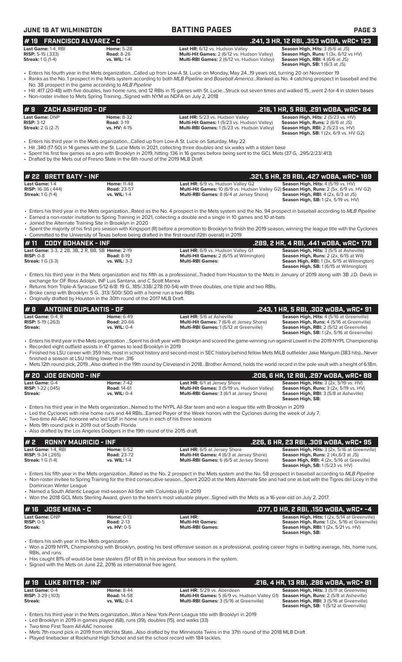| <b>JUNE 16 AT WILMINGTON</b>                                                                           |                                                                                                                                                                                                 | <b>BATTING PAGES</b>                                                                                                                                                                                                                                                                                                                                                           | <b>PAGE 3</b>                                                                                                                                                                                                                                                                                                                                                                                                                                                                                                                                                   |
|--------------------------------------------------------------------------------------------------------|-------------------------------------------------------------------------------------------------------------------------------------------------------------------------------------------------|--------------------------------------------------------------------------------------------------------------------------------------------------------------------------------------------------------------------------------------------------------------------------------------------------------------------------------------------------------------------------------|-----------------------------------------------------------------------------------------------------------------------------------------------------------------------------------------------------------------------------------------------------------------------------------------------------------------------------------------------------------------------------------------------------------------------------------------------------------------------------------------------------------------------------------------------------------------|
| <b>FRANCISCO ALVAREZ - C</b><br>#19                                                                    |                                                                                                                                                                                                 |                                                                                                                                                                                                                                                                                                                                                                                | .241, 3 HR, 12 RBI, .353 wDBA, wRC+ 123                                                                                                                                                                                                                                                                                                                                                                                                                                                                                                                         |
| Last Game: 1-4, RBI<br><b>RISP: 5-15 (.333)</b><br><b>Streak:</b> 1 G (1-4)                            | <b>Home: 5-28</b><br><b>Road: 8-26</b><br>vs. WIL: 1-4                                                                                                                                          | Last HR: 6/12 vs. Hudson Valley<br>Multi-Hit Games: 2 (6/12 vs. Hudson Valley)<br>Multi-RBI Games: 2 (6/12 vs. Hudson Valley)                                                                                                                                                                                                                                                  | Season High, Hits: 3 (6/6 at JS)<br>Season High, Runs: 1 (3x, 6/12 vs HV)<br>Season High, RBI: 4 (6/6 at JS)<br>Season High, SB: 1 (6/3 at JS)                                                                                                                                                                                                                                                                                                                                                                                                                  |
|                                                                                                        | No. 38 prospect in the game according to MLB Pipeline                                                                                                                                           | Fiters his fourth year in the Mets organizationCalled up from Low-A St. Lucie on Monday, May 2419 years old, turning 20 on November 19<br>· Ranks as the No. 1 prospect in the Mets system according to both MLB Pipeline and Baseball AmericaRanked as No. 4 catching prospect in baseball and the                                                                            |                                                                                                                                                                                                                                                                                                                                                                                                                                                                                                                                                                 |
|                                                                                                        | • Non-roster invitee to Mets Spring TrainingSigned with NYM as NDFA on July 2, 2018                                                                                                             | • Hit .417 (20-48) with five doubles, two home runs, and 12 RBIs in 15 games with St. LucieStruck out seven times and walked 15went 2-for-4 in stolen bases                                                                                                                                                                                                                    |                                                                                                                                                                                                                                                                                                                                                                                                                                                                                                                                                                 |
| ZACH ASHFORD - OF<br>#9                                                                                |                                                                                                                                                                                                 |                                                                                                                                                                                                                                                                                                                                                                                | .216, 1 HR, 5 RBI, .291 WOBA, WRC+ 84                                                                                                                                                                                                                                                                                                                                                                                                                                                                                                                           |
| Last Game: DNP<br><b>RISP: 3-12</b><br><b>Streak:</b> 2 G (2-7)                                        | <b>Home: 8-32</b><br><b>Road: 3-19</b><br>vs. HV: 4-15                                                                                                                                          | Last HR: 5/23 vs. Hudson Valley<br>Multi-Hit Games: 1 (5/23 vs. Hudson Valley)<br>Multi-RBI Games: 1(5/23 vs. Hudson Valley)                                                                                                                                                                                                                                                   | Season High, Hits: 2 (5/23 vs. HV)<br>Season High, Runs: 2 (6/6 at JS)<br><b>Season High, RBI: 2 (5/23 vs. HV)</b><br><b>Season High, SB:</b> 1 (2x, 6/9 vs. HV G2)                                                                                                                                                                                                                                                                                                                                                                                             |
|                                                                                                        | • Drafted by the Mets out of Fresno State in the 6th round of the 2019 MLB Draft                                                                                                                | Enters his third year in the Mets organizationCalled up from Low-A St. Lucie on Saturday, May 22<br>• Hit .340 (17-50) in 14 games with the St. Lucie Mets in 2021, collecting three doubles and six walks with a stolen base<br>• Spent his first few games as a pro with Brooklyn in 2019, hitting .136 in 16 games before being sent to the GCL Mets (37 G, .295/2/23/.413) |                                                                                                                                                                                                                                                                                                                                                                                                                                                                                                                                                                 |
| # 22 BRETT BATY - INF                                                                                  |                                                                                                                                                                                                 |                                                                                                                                                                                                                                                                                                                                                                                | .321, 5 HR, 29 RBI, .427 wOBA, wRC+ 169                                                                                                                                                                                                                                                                                                                                                                                                                                                                                                                         |
| Last Game: 1-4<br><b>RISP:</b> 16-36 (.444)<br><b>Streak:</b> 1 G (1-4)                                | <b>Home: 11-48</b><br><b>Road: 23-57</b><br>vs. WIL: 1-4                                                                                                                                        | Last HR: 6/9 vs. Hudson Valley G2<br>Multi-Hit Games: 10 (6/9 vs. Hudson Valley G2) Season High, Runs: 2 (5x, 6/9 vs. HV G2)<br>Multi-RBI Games: 8 (6/4 at Jersey Shore)                                                                                                                                                                                                       | Season High, Hits: 4 (5/19 vs. HV)<br><b>Season High, RBI:</b> $4$ (2x, $6/3$ at JS)<br>Season High, SB: 1 (2x, 5/19 vs. HV)                                                                                                                                                                                                                                                                                                                                                                                                                                    |
| $\bullet$                                                                                              | Joined the Alternate Training Site in Brooklyn in 2020                                                                                                                                          | • Enters his third year in the Mets organizationRated as the No. 4 prospect in the Mets system and the No. 94 prospect in baseball according to MLB Pipeline<br>• Earned a non-roster invitation to Spring Training in 2021, collecting a double and a single in 10 games and 10 at-bats                                                                                       |                                                                                                                                                                                                                                                                                                                                                                                                                                                                                                                                                                 |
|                                                                                                        |                                                                                                                                                                                                 | • Spent the majority of his first pro season with Kingsport (R) before a promotion to Brooklyn to finish the 2019 season, winning the league title with the Cyclones<br>• Committed to the University of Texas before being drafted in the first round (12th overall) in 2019                                                                                                  |                                                                                                                                                                                                                                                                                                                                                                                                                                                                                                                                                                 |
| <b>CODY BOHANEK - INF</b><br>#11<br>Last Game: 3-3, 2 2B, 3B, 2 R, BB, SB Home: 2-19                   |                                                                                                                                                                                                 | Last HR: 6/9 vs. Hudson Valley G1                                                                                                                                                                                                                                                                                                                                              | .289, 2 HR, 4 RBI, .441 wOBA, wRC+ 178<br>Season High, Hits: 3 (5/5 at Asheville)                                                                                                                                                                                                                                                                                                                                                                                                                                                                               |
| <b>RISP: 0-8</b>                                                                                       | <b>Road: 8-19</b>                                                                                                                                                                               | Multi-Hit Games: 2 (6/15 at Wilmington)                                                                                                                                                                                                                                                                                                                                        | Season High, Runs: 2 (2x, 6/15 at Wil)                                                                                                                                                                                                                                                                                                                                                                                                                                                                                                                          |
| <b>Streak: 1 G (3-3)</b>                                                                               | vs. WIL: 3-3<br>exchange for OF Ross Adolph, INF Luis Santana, and C Scott Manea                                                                                                                | <b>Multi-RBI Games:</b><br>• Enters his third year in the Mets organization and his fifth as a professionalTraded from Houston to the Mets in January of 2019 along with 3B J.D. Davis in<br>• Returns from Triple-A Syracuse 5/12-6/8: 19 G, 185/.338/.278 (10-54) with three doubles, one triple and two RBIs.                                                               |                                                                                                                                                                                                                                                                                                                                                                                                                                                                                                                                                                 |
| $\bullet$<br># R<br><b>ANTOINE DUPLANTIS - OF</b><br>Last Game: $0-4, R$<br><b>RISP:</b> 5-19 $(.263)$ | Broke camp with Brooklyn: 5 G, .313/.500/.500 with a home run a two RBIs<br>• Originally drafted by Houston in the 30th round of the 2017 MLB Draft.<br><b>Home: 6-49</b><br><b>Road: 20-66</b> | Last HR: 5/6 at Asheville<br><b>Multi-Hit Games: 7 (6/6 at Jersey Shore)</b>                                                                                                                                                                                                                                                                                                   |                                                                                                                                                                                                                                                                                                                                                                                                                                                                                                                                                                 |
| Streak:                                                                                                | vs. WIL: 0-4                                                                                                                                                                                    | Multi-RBI Games: 1(5/12 at Greenville)                                                                                                                                                                                                                                                                                                                                         |                                                                                                                                                                                                                                                                                                                                                                                                                                                                                                                                                                 |
|                                                                                                        | • Recorded eight outfield assists in 47 games to lead Brooklyn in 2019                                                                                                                          | · Enters his third year in the Mets organization Spent his draft year with Brooklyn and scored the game-winning run against Lowell in the 2019 NYPL Championship<br>• Finished his LSU career with 359 hits, most in school history and second-most in SEC history behind fellow Mets MiLB outfielder Jake Mangum (383 hits)Never                                              |                                                                                                                                                                                                                                                                                                                                                                                                                                                                                                                                                                 |
| finished a season at LSU hitting lower than .316                                                       |                                                                                                                                                                                                 | • Mets 12th round pick, 2019Also drafted in the 19th round by Cleveland in 2018Brother Armond, holds the world record in the pole vault with a height of 6.18m.                                                                                                                                                                                                                |                                                                                                                                                                                                                                                                                                                                                                                                                                                                                                                                                                 |
| # 20 JOE GENORD - INF                                                                                  |                                                                                                                                                                                                 |                                                                                                                                                                                                                                                                                                                                                                                |                                                                                                                                                                                                                                                                                                                                                                                                                                                                                                                                                                 |
| Last Game: 0-4<br><b>RISP:</b> 1-22 $(.045)$<br><b>Streak:</b>                                         | <b>Home: 7-42</b><br><b>Road: 14-61</b><br>vs. WIL: 0-4                                                                                                                                         | Last HR: 6/1 at Jersey Shore<br>Multi-Hit Games: 3 (5/19 vs. Hudson Valley)<br><b>Multi-RBI Games: 3 (6/1 at Jersey Shore)</b>                                                                                                                                                                                                                                                 | Season High, Hits: 3 (2x, 5/19 vs. HV)<br>Season High, RBI: 3 (5/8 at Asheville)<br>Season High, SB:                                                                                                                                                                                                                                                                                                                                                                                                                                                            |
| • Mets 9th round pick in 2019 out of South Florida                                                     | • Two-time All-AAC honoree who led USF in home runs in each of his three seasons<br>• Also drafted by the Los Angeles Dodgers in the 19th round of the 2015 draft.                              | · Enters his third year in the Mets organizationNamed to the NYPL All-Star team and won a league title with Brooklyn in 2019<br>• Led the Cyclones with nine home runs and 44 RBIsEarned Player of the Week honors with the Cyclones during the week of July 7.                                                                                                                |                                                                                                                                                                                                                                                                                                                                                                                                                                                                                                                                                                 |
| #2<br><b>RONNY MAURICIO - INF</b>                                                                      |                                                                                                                                                                                                 |                                                                                                                                                                                                                                                                                                                                                                                |                                                                                                                                                                                                                                                                                                                                                                                                                                                                                                                                                                 |
| Last Game: 1-4, RBI<br><b>RISP: 9-34 (.265)</b><br><b>Streak:</b> 1 G (1-4)                            | <b>Home: 6-52</b><br><b>Road: 23-72</b><br>vs. WIL: 1-4                                                                                                                                         | Last HR: 6/5 at Jersey Shore<br>Multi-Hit Games: 4 (6/3 at Jersey Shore)<br>Multi-RBI Games: 6 (6/5 at Jersey Shore)                                                                                                                                                                                                                                                           | <b>Season High, Runs:</b> $2$ (4x, 6/3 at JS)<br><b>Season High, SB: 1 (5/23 vs. HV)</b>                                                                                                                                                                                                                                                                                                                                                                                                                                                                        |
| Dominican Winter League                                                                                |                                                                                                                                                                                                 | • Enters his fifth year in the Mets organizationRated as the No. 2 prospect in the Mets system and the No. 58 prospect in baseball according to MLB Pipeline<br>• Non-roster invitee to Spring Training for the third consecutive seasonSpent 2020 at the Mets Alternate Site and had one at-bat with the Tigres del Licey in the                                              |                                                                                                                                                                                                                                                                                                                                                                                                                                                                                                                                                                 |
|                                                                                                        | • Named a South Atlantic League mid-season All-Star with Columbia (A) in 2019                                                                                                                   | • Won the 2018 GCL Mets Sterling Award, given to the team's most valuable playerSigned with the Mets as a 16-year-old on July 2, 2017.                                                                                                                                                                                                                                         | <b>Seaon High, RBI:</b> 1 (3x, 6/15 at Wilmington)<br>Season High, SB: 1 (6/15 at Wilmington)<br>.243, 1 HR, 5 RBI, .302 WOBA, WRC+ 91<br>Season High, Hits: 4 (5/16 at Greenville)<br>Season High, Runs: 4 (5/16 at Greenville)<br>Season High, RBI: 2 (5/12 at Greenville)<br>Season High, SB: 1 (2x, 5/16 at Greenville)<br>.206, 6 HR, 12 RBI, .297 wOBA, wRC+ 88<br><b>Season High, Runs:</b> 3 (2x, 5/19 vs. HV)<br>.226, 6 HR, 23 RBI, .309 w0BA, wRC+ 95<br>Season High, Hits: 3 (2x, 5/16 at Greenville)<br>Seaon High, RBI: 4 (2x, 5/16 at Greeville) |
| <b>JOSE MENA - C</b><br>#16                                                                            |                                                                                                                                                                                                 |                                                                                                                                                                                                                                                                                                                                                                                |                                                                                                                                                                                                                                                                                                                                                                                                                                                                                                                                                                 |
| Last Game: DNP<br><b>RISP: 0-5</b><br>Streak:                                                          | <b>Home: 0-13</b><br><b>Road: 2-13</b><br>vs. HV: 0-5                                                                                                                                           | Last HR:<br><b>Multi-Hit Games:</b><br><b>Multi-RBI Games:</b>                                                                                                                                                                                                                                                                                                                 | .077, 0 HR, 2 RBI, .150 w0BA, wRC+ -4<br>Season High, Hits: 1 (2x, 5/14 at Greenville)<br><b>Season High, Runs:</b> 1 (2x, 5/16 at Greenville)<br><b>Season High, RBI:</b> 1 (2x, 5/21 vs. HV)<br>Season High, SB:                                                                                                                                                                                                                                                                                                                                              |
| • Enters his sixth year in the Mets organization                                                       |                                                                                                                                                                                                 | • Won a 2019 NYPL Championship with Brooklyn, posting his best offensive season as a professional, posting career highs in batting average, hits, home runs,                                                                                                                                                                                                                   |                                                                                                                                                                                                                                                                                                                                                                                                                                                                                                                                                                 |

| $\bm{\sharp}$ 19 $\,$ LUKE RITTER - INF $\,$ |                     |                                                                                                     | .216, 4 HR, 13 RBI, .286 wOBA, wRC+ 81           |
|----------------------------------------------|---------------------|-----------------------------------------------------------------------------------------------------|--------------------------------------------------|
| <b>Last Game:</b> 0-4                        | <b>Home: 8-44</b>   | <b>Last HR:</b> 5/29 vs. Aberdeen                                                                   | <b>Season High, Hits: 3 (5/11 at Greenville)</b> |
| <b>RISP:</b> $3-29$ (.103)                   | <b>Road: 14-58</b>  | <b>Multi-Hit Games:</b> 5 (6/9 vs. Hudson Valley G1) <b>Season High, Runs:</b> 2 (5/8 at Asheville) |                                                  |
| Streak:                                      | <b>vs. WIL: 0-4</b> | <b>Multi-RBI Games:</b> 3 (5/16 at Greenville)                                                      | <b>Season High, RBI: 3 (5/16 at Greenville)</b>  |
|                                              |                     |                                                                                                     | <b>Season High, SB: 1(5/12 at Greenville)</b>    |

• Enters his third year in the Mets organization...Won a New York-Penn League title with Brooklyn in 2019

• Led Brooklyn in 2019 in games played (68), runs (39), doubles (15), and walks (33)

• Two-time First Team All-AAC honoree

• Mets 7th-round pick in 2019 from Wichita State...Also drafted by the Minnesota Twins in the 37th round of the 2018 MLB Draft • Played linebacker at Rockhurst High School and set the school record with 184 tackles.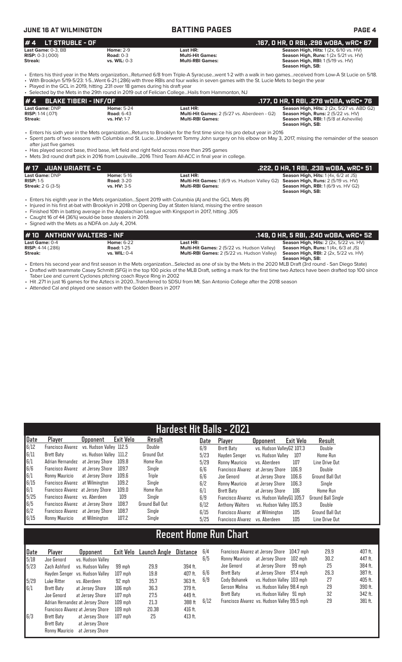# **JUNE 16 AT WILMINGTON BATTING PAGES PAGE 4**

| $# 4$ LT STRUBLE - OF     |                     |                         | . .167, O HR, O RBI, .296 wOBA, wRC+ 87'                    |
|---------------------------|---------------------|-------------------------|-------------------------------------------------------------|
| <b>Last Game:</b> 0-3. BB | <b>Home: 2-9</b>    | Last HR:                | <b>Season High, Hits: 1 (2x, 6/10 vs. HV)</b>               |
| <b>RISP:</b> 0-3 (.000)   | Road: $0-3$         | <b>Multi-Hit Games:</b> | <b>Season High, Runs:</b> $1(2 \times 5/21 \text{ vs. HV})$ |
| <b>Streak:</b>            | <b>vs. WIL: 0-3</b> | <b>Multi-RBI Games:</b> | <b>Season High, RBI:</b> 1 (5/19 vs. HV)                    |
|                           |                     |                         | Season High, SB:                                            |
|                           |                     |                         |                                                             |

• Enters his third year in the Mets organization...Returned 6/8 from Triple-A Syracuse...went 1-2 with a walk in two games...received from Low-A St Lucie on 5/18. • With Brooklyn 5/19-5/23: 1-5...Went 6-21 (.286) with three RBIs and four walks in seven games with the St. Lucie Mets to begin the year • Played in the GCL in 2019, hitting .231 over 18 games during his draft year

• Selected by the Mets in the 29th round in 2019 out of Felician College...Hails from Hammonton, NJ

|                                                |                                        | . Selected by the IMER III the ZStill found III ZOTS Out OFFEINGH COIlegeI Idiis HOIH Fidhinofiton, INS |                                                                                                         |
|------------------------------------------------|----------------------------------------|---------------------------------------------------------------------------------------------------------|---------------------------------------------------------------------------------------------------------|
| #4 BLAKE TIBERI - INF/OF                       |                                        |                                                                                                         | . 177, 0 HR, 1 RBI, .278 w0BA, wRC+ 76. [                                                               |
| Last Game: DNP<br><b>RISP:</b> $1-14$ $(.071)$ | <b>Home: 5-24</b><br><b>Road: 6-43</b> | Last HR:<br><b>Multi-Hit Games:</b> 2 (5/27 vs. Aberdeen - G2)                                          | <b>Season High, Hits: 2 (2x, 5/27 vs. ABD G2)</b><br><b>Season High, Runs:</b> $2(5/22 \text{ vs. HV})$ |
| Streak:                                        | vs. HV: 1-7                            | <b>Multi-RBI Games:</b>                                                                                 | <b>Season High, RBI:</b> 1(5/8 at Asheville)<br>Season High, SB:                                        |

• Enters his sixth year in the Mets organization...Returns to Brooklyn for the first time since his pro debut year in 2016 • Spent parts of two seasons with Columbia and St. Lucie...Underwent Tommy John surgery on his elbow on May 3, 2017, missing the remainder of the season after just five games

• Has played second base, third base, left field and right field across more than 295 games • Mets 3rd round draft pick in 2016 from Louisville...2016 Third Team All-ACC in final year

| <b>#17 JUAN URIARTE - C</b> |                   |                                                                                  | .222. O HR. 1 RBI. .238 wOBA. wRC+ 51        |
|-----------------------------|-------------------|----------------------------------------------------------------------------------|----------------------------------------------|
| <b>Last Game: DNP</b>       | <b>Home: 5-16</b> | Last HR:                                                                         | <b>Season High, Hits:</b> $1(4x, 6/2$ at JS) |
| $RISP: 1-5$                 | <b>Road: 3-20</b> | Multi-Hit Games: 1 (6/9 vs. Hudson Valley G2) Season High, Runs: 2 (5/19 vs. HV) |                                              |
| <b>Streak:</b> 2 G (3-5)    | $vs. H. 3-5$      | <b>Multi-RBI Games:</b>                                                          | <b>Season High, RBI:</b> 1(6/9 vs. HV G2)    |
|                             |                   |                                                                                  | Season High, SB:                             |

• Enters his eighth year in the Mets organization...Spent 2019 with Columbia (A) and the GCL Mets (R)

• Injured in his first at-bat with Brooklyn in 2018 on Opening Day at Staten Island, missing the entire season

• Finished 10th in batting average in the Appalachian League with Kingsport in 2017, hitting .305

• Caught 16 of 44 (36%) would-be base stealers in 2019. • Signed with the Mets as a NDFA on July 4, 2014.

| #10 ANTHONY WALTERS - INF  |                     |                                             | .149. O HR. 5 RBI. .240 wOBA. wRC+ 52         |
|----------------------------|---------------------|---------------------------------------------|-----------------------------------------------|
| Last Game: 0-4             | <b>Home: 6-22</b>   | Last HR:                                    | <b>Season High, Hits: 2 (2x, 5/22 vs. HV)</b> |
| <b>RISP:</b> $4-14$ (.286) | <b>Road: 1-25</b>   | Multi-Hit Games: 2 (5/22 vs. Hudson Valley) | <b>Season High, Runs:</b> $1(4x, 6/3$ at JS)  |
| Streak:                    | <b>vs. WIL: 0-4</b> | Multi-RBI Games: 2 (5/22 vs. Hudson Valley) | <b>Season High, RBI:</b> 2 (2x, 5/22 vs. HV)  |
|                            |                     |                                             | Season High, SB:                              |

- Enters his second year and first season in the Mets organization...Selected as one of six by the Mets in the 2020 MLB Draft (3rd round San Diego State) • Drafted with teammate Casey Schmitt (SFG) in the top 100 picks of the MLB Draft, setting a mark for the first time two Aztecs have been drafted top 100 since Taber Lee and current Cyclones pitching coach Royce Ring in 2002
- Hit .271 in just 16 games for the Aztecs in 2020...Transferred to SDSU from Mt. San Antonio College after the 2018 season

• Attended Cal and played one season with the Golden Bears in 2017

|                                                                         | Hardest Hit Balls - 2021               |                         |           |                   |      |                          |                           |                  |                    |  |
|-------------------------------------------------------------------------|----------------------------------------|-------------------------|-----------|-------------------|------|--------------------------|---------------------------|------------------|--------------------|--|
| Date                                                                    | Player                                 | <b>Opponent</b>         | Exit Velo | Result            | Date | Player                   | <b>Opponent</b>           | <b>Exit Velo</b> | Result             |  |
| 6/12                                                                    | Francisco Alvarez                      | vs. Hudson Vallev 112.5 |           | Double            | 6/9  | <b>Brett Baty</b>        | vs. Hudson ValleyG2 107.3 |                  | Double             |  |
| 6/11                                                                    | Brett Baty                             | vs. Hudson Valley 111.2 |           | <b>Ground Out</b> | 5/23 | Hayden Senger            | vs. Hudson Valley         | 107              | <b>Home Run</b>    |  |
| $\begin{array}{r} 6/1 \\ 6/6 \\ 6/1 \\ 6/15 \\ 6/1 \\ 5/25 \end{array}$ | Adrian Hernandez                       | at Jersev Shore         | 109.8     | <b>Home Run</b>   | 5/29 | Ronny Mauricio           | vs. Aberdeen              | 107              | Line Drive Out     |  |
|                                                                         | Francisco Alvarez                      | at Jersev Shore         | 109.7     | Single            | 6/6  | <b>Francisco Alvarez</b> | at Jersey Shore           | 106.9            | Double             |  |
|                                                                         | Ronny Mauricio                         | at Jersey Shore         | 109.6     | Triple            | 6/6  | Joe Genord               | at Jersey Shore           | 106.6            | Ground Ball Out    |  |
|                                                                         | <b>Francisco Alvarez</b> at Wilmington |                         | 109.2     | Single            | 6/2  | Ronny Mauricio           | at Jersev Shore           | 106.3            | Single             |  |
|                                                                         | Francisco Alvarez at Jersey Shore      |                         | 109.0     | <b>Home Run</b>   | 6/1  | <b>Brett Baty</b>        | at Jersey Shore           | 106              | <b>Home Run</b>    |  |
|                                                                         | Francisco Alvarez vs. Aberdeen         |                         | 109       | Sinale            | 6/9  | Francisco Alvarez        | vs. Hudson VallevG1 105.7 |                  | Ground Ball Single |  |
| 6/5                                                                     | Francisco Alvarez at Jersey Shore      |                         | 108.7     | Ground Ball Out   | 6/12 | <b>Anthony Walters</b>   | vs. Hudson Valley 105.3   |                  | Double             |  |
| 6/2                                                                     | Francisco Alvarez at Jersey Shore      |                         | 108.7     | Single            | 6/15 | <b>Francisco Alvarez</b> | at Wilmington             | 105              | Ground Ball Out    |  |
| 6/15                                                                    | Ronny Mauricio                         | at Wilmington           | 107.2     | Single            | 5/25 | <b>Francisco Alvarez</b> | vs. Aberdeen              | 105              | Line Drive Out     |  |

# **Recent Home Run Chart**

| <b>Date</b> | Player         | <b>Opponent</b>                   |           | Exit Velo Launch Angle | <b>Distance</b> | 6 |
|-------------|----------------|-----------------------------------|-----------|------------------------|-----------------|---|
| 5/18        | Joe Genord     | vs. Hudson Valley                 |           |                        |                 | 6 |
| 5/23        | Zach Ashford   | vs. Hudson Vallev                 | 99 mph    | 29.9                   | 394 ft.         |   |
|             | Hayden Senger  | vs. Hudson Valley                 | $107$ mph | 19.8                   | 407 ft.         | 6 |
| 5/29        | Luke Ritter    | vs. Aberdeen                      | 92 mph    | 35.7                   | 363 ft.         | 6 |
| 6/1         | Brett Baty     | at Jersey Shore                   | $106$ mph | 36.3                   | 379 ft.         |   |
|             | Joe Genord     | at Jersey Shore                   | $107$ mph | 27.5                   | 449 ft.         |   |
|             |                | Adrian Hernandez at Jersey Shore  | $109$ mph | 21.3                   | 388 ft          | 6 |
|             |                | Francisco Alvarez at Jersey Shore | 109 mph   | 20.38                  | 416 ft.         |   |
| 6/3         | Brett Baty     | at Jersey Shore                   | $107$ mph | 25                     | 413 ft.         |   |
|             | Brett Baty     | at Jersey Shore                   |           |                        |                 |   |
|             | Ronny Mauricio | at Jersey Shore                   |           |                        |                 |   |

| 6/4  |                | Francisco Alvarez at Jersey Shore 104.7 mph  |         | 29.9 | 407 ft. |
|------|----------------|----------------------------------------------|---------|------|---------|
| 6/5  | Ronny Mauricio | at Jersey Shore                              | 102 mph | 30.2 | 447 ft. |
|      | Joe Genord     | at Jersey Shore                              | 99 mph  | 25   | 384 ft. |
| 6/6  | Brett Baty     | at Jersey Shore 97.4 mph                     |         | 26.3 | 387 ft. |
| 6/9  | Cody Bohanek   | vs. Hudson Valley 103 mph                    |         | 27   | 405 ft. |
|      | Gerson Molina  | vs. Hudson Valley 98.4 mph                   |         | 29   | 390 ft. |
|      | Brett Baty     | vs. Hudson Valley 91 mph                     |         | 32   | 342 ft. |
| 6/12 |                | Francisco Alvarez vs. Hudson Valley 99.5 mph |         | 29   | 381 ft. |
|      |                |                                              |         |      |         |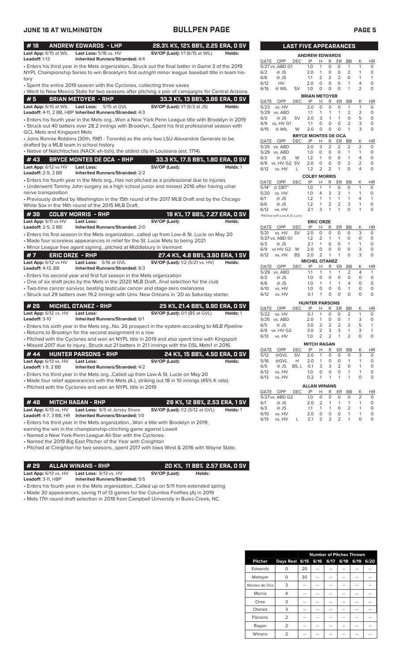| <b>JUNE 16 AT WILMINGTON</b>                      |                                                                                                                                                                                                         | <b>BULLPEN PAGE</b>                    |          |                          |                               |                  |                              |                                  |                         |                         |                                |                     | PAGE <sub>5</sub>         |
|---------------------------------------------------|---------------------------------------------------------------------------------------------------------------------------------------------------------------------------------------------------------|----------------------------------------|----------|--------------------------|-------------------------------|------------------|------------------------------|----------------------------------|-------------------------|-------------------------|--------------------------------|---------------------|---------------------------|
| #18                                               | <b>ANDREW EDWARDS - LHP</b>                                                                                                                                                                             | 28.3% K%, 12% BB%, 2.25 ERA, 0 SV      |          |                          |                               |                  | <b>LAST FIVE APPEARANCES</b> |                                  |                         |                         |                                |                     |                           |
| Last App: 6/15 at WIL Last Loss: 5/18 vs. HV      |                                                                                                                                                                                                         | <b>SV/OP (Last):</b> 1/1 (6/15 at WIL) | Holds:   |                          |                               |                  | <b>ANDREW EDWARDS</b>        |                                  |                         |                         |                                |                     |                           |
| Leadoff: 1-13                                     | <b>Inherited Runners/Stranded: 4/4</b>                                                                                                                                                                  |                                        |          | DATE                     | OPP                           | <b>DEC</b>       | IP                           | Н                                | R                       | ER                      | BB                             | Κ                   | HR                        |
|                                                   | · Enters his third year in the Mets organizationStruck out the final batter in Game 3 of the 2019<br>NYPL Championship Series to win Brooklyn's first outright minor league baseball title in team his- |                                        |          | 6/2                      | 5/27 vs. ABD G1<br>@ JS       |                  | 1.0<br>2.0                   | 1<br>$\mathbf{1}$                | 0<br>0                  | $\circ$<br>$\circ$      | $\mathbf{1}$<br>$\overline{2}$ | 1<br>1              | $\circ$<br>$\circ$        |
| tory                                              |                                                                                                                                                                                                         |                                        |          | 6/6                      | $@$ JS                        |                  | 1.1                          | 2                                | 2                       | 2                       | 0                              | $\mathbf{1}$        | $\mathbf{1}$              |
|                                                   | • Spent the entire 2019 season with the Cyclones, collecting three saves                                                                                                                                |                                        |          | 6/12                     | HV                            |                  | 2.0                          | $\circ$                          | $\circ$                 | $\circ$                 | $\mathbf{1}$                   | 4                   | $\circ$                   |
|                                                   | • Went to New Mexico State for two seasons after pitching a pair of campaigns for Central Arizona.                                                                                                      |                                        |          | 6/15                     | @ WIL                         | SV               | 1.0                          | $\circ$                          | $\mathsf{O}$            | $\circ$                 | $\mathbf{1}$                   | 2                   | $\mathsf O$               |
| #5                                                | <b>BRIAN METOYER - RHP</b>                                                                                                                                                                              | 33.3 K%, 13 BB%, 3.86 ERA, 0 SV        |          |                          |                               |                  | <b>BRIAN METOYER</b>         |                                  |                         |                         |                                |                     |                           |
| Last App: 6/15 at WIL                             | Last Loss: 5/15 at GVL                                                                                                                                                                                  | <b>SV/OP (Last):</b> 1/1 (6/3 at JS)   | Holds:   | DATE<br>5/23             | OPP<br>vs. HV                 | <b>DEC</b>       | IP<br>2.0                    | Н<br>0                           | R<br>$\mathbf 0$        | ER<br>$\circ$           | BB<br>1                        | Κ<br>$\mathbf{1}$   | HR<br>0                   |
|                                                   | Leadoff: 4-11, 2 BB, HBP Inherited Runners/Stranded: 4/3                                                                                                                                                |                                        |          |                          | 5/29 vs. ABD                  |                  | 1.1                          | 1                                | 1                       | $\mathbf{1}$            | 2                              | 2                   | $\circ$                   |
|                                                   | • Enters his fourth year in the Mets orgWon a New York Penn League title with Brooklyn in 2019                                                                                                          |                                        |          | 6/3                      | @ JS                          | <b>SV</b>        | 2.0                          | 3                                | $\mathbf{1}$            | $\mathbf{1}$            | $\circ$                        | 5                   | $\circ$                   |
|                                                   | • Struck out 40 batters over 28.2 innings with BrooklynSpent his first professional season with                                                                                                         |                                        |          | 6/9                      | vs. HV G1                     |                  | 1.1                          | $\circ$                          | $\mathbf 0$             | $\circ$                 | $\overline{2}$                 | 3                   | $\circ$                   |
| <b>GCL Mets and Kingsport Mets</b>                |                                                                                                                                                                                                         |                                        |          | 6/15                     | @ WIL                         | W                | 2.0                          | $\circ$                          | $\circ$                 | $\circ$                 | $\mathbf{1}$                   | 3                   | $\circ$                   |
|                                                   | • Joins Ronnie Robbins (30th, 1981 - Toronto) as the only two LSU-Alexandria Generals to be                                                                                                             |                                        |          |                          |                               |                  | <b>BRYCE MONTES DE OCA</b>   |                                  |                         |                         |                                |                     |                           |
| drafted by a MLB team in school history           |                                                                                                                                                                                                         |                                        |          | DATE OPP<br>5/25 vs. ABD |                               | <b>DEC</b>       | IP<br>2.0                    | H<br>3                           | R<br>2                  | ER<br>$\overline{2}$    | BB<br>2                        | К<br>2              | <b>HR</b><br>0            |
|                                                   | • Native of Natchitoches (NACK-ah-tish), the oldest city in Louisiana (est. 1714).                                                                                                                      |                                        |          | 5/29 vs. ABD             |                               |                  | 1.0                          | 0                                | $\circ$                 | $\circ$                 | $\mathbf{1}$                   | $\mathbf{1}$        | $\circ$                   |
| #43                                               | <b>BRYCE MONTES DE OCA - RHP</b>                                                                                                                                                                        | 33.3 K%, 17.5 BB%, 1.80 ERA, 0 SV      |          | 6/3                      | $@$ JS                        | W                | 1.2                          | $\mathbf{1}$                     | $\circ$                 | $\circ$                 | $\mathbf{1}$                   | 4                   | $\circ$                   |
|                                                   |                                                                                                                                                                                                         |                                        |          |                          | 6/9 vs. HV G2 SV              |                  | 2.0                          | $\circ$                          | 0                       | $\circ$                 | $\overline{2}$                 | 2                   | $\mathsf O$               |
| Last App: 6/12 vs HV<br><b>Leadoff: 2-9, 2 BB</b> | <b>Last Loss:</b><br><b>Inherited Runners/Stranded: 2/2</b>                                                                                                                                             | SV/OP (Last):                          | Holds: 1 | 6/12                     | vs. HV                        | L                | 1.2                          | 2                                | 2                       | $\mathbf{1}$            | $\circ$                        | 4                   | $\circ$                   |
|                                                   |                                                                                                                                                                                                         |                                        |          |                          |                               |                  | <b>COLBY MORRIS</b>          |                                  |                         |                         |                                |                     |                           |
|                                                   | • Enters his fourth year in the Mets orgHas not pitched as a professional due to injuries<br>• Underwent Tommy John surgery as a high school junior and missed 2016 after having ulnar                  |                                        |          | DATE                     | OPP                           | <b>DEC</b>       | IP                           | н                                | R                       | ER                      | BB                             | К                   | HR                        |
|                                                   |                                                                                                                                                                                                         |                                        |          | $5/14*$                  | $@$ DBT*                      |                  | 1.0                          | 1                                | $\mathbf{1}$            | 0                       | 0                              | $\mathbf{1}$        | 0                         |
| nerve transposition                               |                                                                                                                                                                                                         |                                        |          | 5/20<br>6/1              | vs. HV<br>$@$ JS              |                  | 1.0<br>1.2                   | $\overline{4}$<br>$\mathbf{1}$   | 3<br>$\mathbf{1}$       | 3<br>$\mathbf{1}$       | $\mathbf{1}$<br>$\mathbf{1}$   | $\mathbf{1}$<br>4   | $\circ$<br>$\mathbf{1}$   |
|                                                   | • Previously drafted by Washington in the 15th round of the 2017 MLB Draft and by the Chicago<br>White Sox in the 14th round of the 2015 MLB Draft.                                                     |                                        |          | 6/6                      | $@$ JS                        |                  | 1.2                          | $\mathbf{1}$                     | 2                       | $\overline{2}$          | 3                              | 1                   | $\circ$                   |
|                                                   |                                                                                                                                                                                                         |                                        |          | 6/12                     | vs. HV                        |                  | 2.1                          | 3                                | $\mathbf{1}$            | $\mathbf{1}$            | $\Omega$                       | 1                   | $\circ$                   |
| #38                                               | <b>COLBY MORRIS - RHP</b>                                                                                                                                                                               | 19 K%, 17 BB%, 7.27 ERA, 0 SV          |          |                          | *Pitched with Low-A St. Lucie |                  |                              |                                  |                         |                         |                                |                     |                           |
| Last App: 6/11 vs HV                              | <b>Last Loss:</b>                                                                                                                                                                                       | SV/OP (Last):                          | Holds:   |                          |                               |                  |                              | <b>ERIC ORZE</b>                 |                         |                         |                                |                     |                           |
| <b>Leadoff: 2-5, 2 BB</b>                         | <b>Inherited Runners/Stranded: 2/0</b>                                                                                                                                                                  |                                        |          | DATE OPP                 |                               | DEC              | IP                           | н                                | R                       | ER                      | BB                             | К                   | <b>HR</b>                 |
|                                                   | • Enters his first season in the Mets organizationcalled up from Low-A St. Lucie on May 20                                                                                                              |                                        |          | 5/21                     | vs. HV<br>5/27 vs. ABD G1     | <b>SV</b>        | 2.0<br>1.2                   | O<br>2                           | 0<br>$\mathbf{1}$       | $\circ$<br>$\mathbf{1}$ | 0<br>0                         | 3<br>0              | 0<br>$\circ$              |
|                                                   | • Made four scoreless appearances in relief for the St. Lucie Mets to being 2021                                                                                                                        |                                        |          | 6/3                      | $@$ JS                        |                  | 2.1                          | $\mathbf{1}$                     | 0                       | $\circ$                 | $\mathbf{1}$                   | 1                   | $\circ$                   |
|                                                   | • Minor League free agent signingpitched at Middlebury in Vermont                                                                                                                                       |                                        |          | 6/9                      | vs HV G2 W                    |                  | 2.0                          | $\circ$                          | 0                       | $\circ$                 | $\circ$                        | 3                   | $\circ$                   |
| #7<br><b>ERIC ORZE - RHP</b>                      |                                                                                                                                                                                                         | 27.4 K%, 4.8 BB%, 3.60 ERA, 1 SV       |          | 6/12                     | vs. HV                        | <b>BS</b>        | 2.0                          | $\overline{2}$                   | $\mathbf{1}$            | $\mathbf{1}$            | $\circ$                        | 3                   | $\circ$                   |
| Last App: 6/12 vs HV                              | Last Loss: 5/16 at GVL                                                                                                                                                                                  | SV/OP (Last): 1/2 (5/21 vs. HV)        | Holds:   |                          |                               |                  | <b>MICHEL OTANEZ</b>         |                                  |                         |                         |                                |                     |                           |
| Leadoff: 4-13, BB                                 | Inherited Runners/Stranded: 8/3                                                                                                                                                                         |                                        |          | DATE OPP                 |                               | DEC              | IP                           | Н                                | R                       |                         | ER BB                          | К                   | HR                        |
|                                                   | • Enters his second year and first full season in the Mets organization                                                                                                                                 |                                        |          | 5/29 vs. ABD<br>6/2      | $@$ JS                        |                  | 1.1<br>1.0                   | $\mathbf{1}$<br>0                | $\mathbf{1}$<br>$\circ$ | $\mathbf{1}$<br>$\circ$ | 2<br>0                         | $\overline{4}$<br>0 | $\overline{1}$<br>$\circ$ |
|                                                   | . One of six draft picks by the Mets in the 2020 MLB Draftfinal selection for the club                                                                                                                  |                                        |          | 6/6                      | @ JS                          |                  | 1.0                          | 1                                | $\mathbf{1}$            | $\mathbf{1}$            | 4                              | $\circ$             | $\circ$                   |
|                                                   | • Two-time cancer survivor, beating testicular cancer and stage-zero melanoma                                                                                                                           |                                        |          | 6/10                     | vs. HV                        |                  | 1.0                          | 0                                | $\mathbf 0$             | $\circ$                 | $\mathbf{1}$                   | $\circ$             | $\circ$                   |
|                                                   | • Struck out 29 batters over 19.2 innings with Univ. New Orleans in '20 as Saturday starter.                                                                                                            |                                        |          | 6/12                     | vs. HV                        |                  | 0.1                          | $\mathbf{1}$                     | $\circ$                 | $\circ$                 | $\circ$                        | $\circ$             | $\circ$                   |
|                                                   |                                                                                                                                                                                                         |                                        |          |                          |                               |                  | <b>HUNTER PARSONS</b>        |                                  |                         |                         |                                |                     |                           |
| #26                                               | <b>MICHEL OTANEZ - RHP</b>                                                                                                                                                                              | 25 K%, 21.4 BB%, 9.90 ERA, 0 SV        |          | DATE                     | OPP                           | <b>DEC</b>       | IP                           | н                                | R                       | ER                      | BB                             | К                   | HR                        |
| Last App: $6/12$ vs. $HV$                         | <b>Last Loss:</b>                                                                                                                                                                                       | SV/OP (Last): 0/1 (BS at GVL)          | Holds: 1 | 5/22 vs. HV              |                               |                  | 0.1                          | $\overline{1}$                   | $\circ$                 | $\circ$                 | 2                              | $\mathbf{1}$        | $\circ$                   |
| Leadoff: 3-10                                     | Inherited Runners/Stranded: 6/1                                                                                                                                                                         |                                        |          |                          | 5/25 vs. ABD                  |                  | 2.0 1 0 0 1                  |                                  |                         |                         |                                | 3                   | 0                         |
|                                                   | • Enters his sixth year in the Mets orgNo. 26 prospect in the system according to MLB Pipeline                                                                                                          |                                        |          | 6/5                      | @ JS                          |                  | 3.0                          | $\overline{2}$                   | $\overline{2}$          | $\overline{2}$          | $\overline{2}$                 | 5                   | $\mathbf{1}$              |
|                                                   | • Returns to Brooklyn for the second assignment in a row                                                                                                                                                |                                        |          | 6/13                     | 6/9 vs. HV G2<br>vs. HV       |                  | 3.0<br>1.0                   | $\overline{2}$<br>$\overline{2}$ | 3<br>$\overline{2}$     | 3<br>$\mathbf{1}$       | 1<br>$\overline{2}$            | 3<br>O              | $\mathbf{1}$<br>$\circ$   |
|                                                   | • Pitched with the Cyclones and won an NYPL title in 2019 and also spent time with Kingsport                                                                                                            |                                        |          |                          |                               |                  |                              |                                  |                         |                         |                                |                     |                           |
|                                                   | · Missed 2017 due to injuryStruck out 21 batters in 21.1 innings with the DSL Mets1 in 2016.                                                                                                            |                                        |          |                          |                               |                  | <b>MITCH RAGAN</b>           |                                  |                         |                         |                                |                     |                           |
| #44                                               | <b>HUNTER PARSONS - RHP</b>                                                                                                                                                                             | 24 K%, 15 BB%, 4.50 ERA, 0 SV          |          | DATE<br>5/12             | OPP<br>@GVL                   | DEC<br><b>SV</b> | IP<br>2.0                    | H<br>1                           | $\mathsf{R}$<br>0       | ER<br>0                 | BB<br>0                        | Κ<br>3              | HR<br>0                   |
| Last App: 6/13 vs. HV                             | Last Loss:                                                                                                                                                                                              | SV/OP (Last):                          | Holds:   | 5/16                     | @GVL                          | Н                | 2.0                          | $\mathbf{1}$                     | 0                       | 0                       | $\mathbf{1}$                   | 1                   | 0                         |
| Leadoff: $1-9$ , $2$ BB                           | <b>Inherited Runners/Stranded: 4/2</b>                                                                                                                                                                  |                                        |          | 6/5                      | $@$ JS                        | BS, L            | 0.1                          | 3                                | 3                       | $\overline{2}$          | $\mathsf{O}\xspace$            | 1                   | $\circ$                   |
|                                                   | • Enters his third year in the Mets orgCalled up from Low-A St. Lucie on May 20                                                                                                                         |                                        |          | 6/12                     | vs. HV                        |                  | 1.0                          | $\mathsf O$                      | $\circ$                 | $\circ$                 | $\mathbf{1}$                   | 1                   | $\circ$                   |
|                                                   | • Made four relief appearances with the Mets (A-), striking out 18 in 10 innings (45% K rate).                                                                                                          |                                        |          | 6/13                     | vs. HV                        |                  | 0.2                          | $\mathbf{1}$                     | 1                       | $\mathbf{1}$            | $\mathbf{1}$                   | 0                   | $\mathsf O$               |
|                                                   | • Pitched with the Cyclones and won an NYPL title in 2019                                                                                                                                               |                                        |          |                          |                               |                  | <b>ALLAN WINANS</b>          |                                  |                         |                         |                                |                     |                           |
|                                                   |                                                                                                                                                                                                         |                                        |          | DATE OPP                 |                               | DEC              | IP                           | H                                | R                       | ER                      | BB                             | К                   | HR                        |
|                                                   |                                                                                                                                                                                                         |                                        |          |                          | 5/27 vs. ABD G2               |                  | 1.0                          | 0                                | 0                       | 0                       | 0                              | 2                   | 0                         |
| #48                                               | <b>MITCH RAGAN - RHP</b>                                                                                                                                                                                | 26 K%, 12 BB%, 2.53 ERA, 1 SV          |          | 6/1                      | @ JS                          |                  | 2.0                          | 2                                | 1                       | $\mathbf{1}$            | 1                              | 1                   | 0                         |
| Last App: 6/13 vs. HV                             | Last Loss: 6/5 at Jersey Shore                                                                                                                                                                          | <b>SV/OP (Last):</b> 1/2 (5/12 at GVL) | Holds: 1 | 6/3<br>6/10              | @ JS<br>vs. HV                |                  | 1.1<br>2.0                   | 1<br>0                           | 1<br>0                  | 0<br>0                  | 2<br>$\mathbf{1}$              | 1<br>1              | 0<br>0                    |
| <b>Leadoff:</b> 4-7, 3 BB, HR                     | <b>Inherited Runners/Stranded: 1/0</b>                                                                                                                                                                  |                                        |          | 6/13                     | vs. HV                        |                  | 2.1                          | 2                                | 2                       | 2                       | -1                             | $\Omega$            | $\Omega$                  |

• Enters his third year in the Mets organization...Won a title with Brooklyn in 2019,

earning the win in the championship-clinching game against Lowell

• Named a New York-Penn League All-Star with the Cyclones

• Named the 2019 Big East Pitcher of the Year with Creighton

• Pitched at Creighton for two seasons...spent 2017 with Iowa West & 2016 with Wayne State.

**# 29 ALLAN WINANS - RHP 20 K%, 11 BB% 2.57 ERA, 0 SV**

Last App: 6/13 vs. HV Last Loss: 6/13 vs. HV **SV/OP (Last): Holds: Holds: Leadoff:** 3-11, HBP **Inherited Runners/Stranded:** 5/5 **Inherited Runners/Stranded:** 5/5

• Enters his fourth year in the Mets organization...Called up on 5/11 from extended spring

• Made 30 appearances, saving 11 of 13 games for the Columbia Fireflies (A) in 2019

• Mets 17th round draft selection in 2018 from Campbell University in Buies Creek, NC.

### **LAST FIVE APPEARANCES MICHEL OTANEZ**<br>
<u>PHRER</u> DATE OPP DEC IP H R ER BB K HR 5/29 vs. ABD 1.1 1 1 1 2 4 1 6/2 @ JS 1.0 0 0 0 0 0 0 6/6 @ JS 1.0 1 1 1 4 0 0 6/10 vs. HV 1.0 0 0 0 1 0 0 6/12 vs. HV 0.1 1 0 0 0 0 0 **ERIC ORZE**<br>
<u>IP H R</u> DATE OPP DEC IP H R ER BB K HR 5/21 vs. HV SV 2.0 0 0 0 0 3 0 5/27 vs. ABD G1 1.2 2 1 1 0 0 0 6/3 @ JS 2.1 1 0 0 1 1 0 6/9 vs HV G2 W 2.0 0 0 0 0 3 0 vs. HV **BRIAN METOYER**<br>C IP H R ER 02 DATE OPP DEC IP H R ER BB K HR<br>5/23 vs. HV 2.0 0 0 0 1 1 0<br>5/29 vs. ABD 1.1 1 1 1 2 2 0 5/23 vs. HV 2.0 0 0 0 1 1 0 5/29 vs. ABD 1.1 1 1 1 2 2 0 6/3 @ JS SV 2.0 3 1 1 0 5 0 6/9 vs. HV G1 1.1 0 0 0 2 3 0<br>6/15 @ WIL W 2.0 0 0 0 1 3 0 6/15 @ WIL W 2.0 0 0 0 1 3 0 **ANDREW EDWARDS**<br>DEC IP H R ER DATE OPP DEC IP H R ER BB K HR 10 5/27 vs. ABD G1 1.0 1 0 0 1 1 0<br>
5/2 ⊚ JS 2.0 1 0 0 2 1 0<br>
5/6 ⊚ JS 1.1 2 2 2 0 1 1 0 JS 2.0 1 0 0 2<br>0 JS 1.1 2 2 2 0 0 6/6 @ JS 1.1 2 2 2 0 1 1<br>0 6/12 HV 2.0 0 0 0 1 4 0<br>0 6/15 @ WILSV 1.0 0 0 0 1 2 0 6/12 HV 2.0 0 0 0 1 4 0  $6/15$  @ WIL SV 1.0 0 0 0 1 **BRYCE MONTES DE OCA**<br>DEC IP H R ER BB 02 DATE OPP DEC IP H R ER BB K HR<br>5/25 vs. ABD 2.0 3 2 2 2 2 0<br>5/29 vs. ABD 1.0 0 0 0 1 1 0 5/25 vs. ABD 2.0 3 2 2 2 2 0 5/29 vs. ABD 1.0 0 0 0 1 1 0<br>6/3 @ JS W 1.2 1 0 0 1 4 0 6/3 @ JS W 1.2 1 0 0 1 4 0 6/9 vs. HV G2 SV 2.0 0 0 0 2 2 0 6/12 vs. HV L 1.2 2 2 1 0 4 0 **COLBY MORRIS** 02 DATE OPP DEC IP H R ER BB K HR<br>5/14\* @ DBT\* 1.0 1 1 0 0 1 0<br>5/20 vs. HV 1.0 4 3 3 1 1 0 5/14\* @ DBT\* 1.0 1 1 0 0 1 0 5/20 vs. HV 1.0 4 3 3 1 1 0 6/1 @ JS 1.2 1 1 1 1 4 1 6/6 @ JS 1.2 1 2 2 3 1 0 6/12 vs. HV 2.1 3 1 1 0 1 0<br>
Pitched with Low-A St. Lucie with Low-A St. Lu

| <b>HUNTER PARSONS</b> |                    |            |     |   |                 |                |               |   |           |
|-----------------------|--------------------|------------|-----|---|-----------------|----------------|---------------|---|-----------|
|                       | DATE OPP           | <b>DEC</b> | IP  | н | R               | ER             | BB.           | Κ | <b>HR</b> |
|                       | 5/22 vs. HV        |            | O 1 | 1 | 0               | 0              | $\mathcal{L}$ |   | O         |
|                       | 5/25 vs. ABD       |            | 2.0 | 1 | O               | $\Omega$       | $\mathbf{1}$  | 3 | $\Omega$  |
| 6/5                   | $\varpi$ JS        |            | 3.0 |   | $2 \quad 2$     | $\overline{2}$ | $\mathcal{P}$ | 5 | 1         |
|                       | 6/9 vs. HV G2      |            | 30  |   | $2 \t3 \t3$     |                | 1             | 3 |           |
|                       | 6/13 vs. HV        |            | 1 O |   | $2\overline{2}$ | 1              | $\mathcal{L}$ | O |           |
|                       | <b>MITCH RAGAN</b> |            |     |   |                 |                |               |   |           |

| DATE OPP DEC IP H R ER BB K HR |               |  |  |  |          |
|--------------------------------|---------------|--|--|--|----------|
| 5/12 @GVL SV 2.0 1 0 0 0 3     |               |  |  |  | $\Omega$ |
| 5/16 @GVL H 2.0 1 0 0 1 1 0    |               |  |  |  |          |
| 6/5 @ JS BS.L 0.1 3 3 2 0 1 0  |               |  |  |  |          |
|                                |               |  |  |  | - റ      |
| $6/13$ vs. HV                  | 0.2 1 1 1 1 0 |  |  |  | 0        |

|          |                 |      | <b>ALLAN WINANS</b> |                |                |          |                |   |              |
|----------|-----------------|------|---------------------|----------------|----------------|----------|----------------|---|--------------|
| DATE OPP |                 | DEC. | IP                  | $H_{-}$        |                | R ER BB  |                | K | <b>HR</b>    |
|          | 5/27 vs. ABD G2 |      | 1.0                 | $\Omega$       | $\Omega$       | 0        | 0              |   | <sup>o</sup> |
| 6/1      | @ JS            |      | 2 O                 | $\overline{2}$ | 1              | 1        | $\overline{1}$ |   | $\Omega$     |
| 6/3      | @ JS            |      | 11                  | $\mathbf{1}$   | $\overline{1}$ | $\Omega$ | 2              |   | O            |
| 6/10     | vs. HV          |      | 2 O                 | O              | O              | O        | $\overline{1}$ |   | O            |
| 6/13     | vs. HV          |      | 21                  |                | 2 2 2          |          | $\overline{1}$ |   | O            |

|                |                | <b>Number of Pitches Thrown</b> |      |      |      |      |      |  |  |  |
|----------------|----------------|---------------------------------|------|------|------|------|------|--|--|--|
| <b>Pitcher</b> | Days Rest 6/15 |                                 | 6/16 | 6/17 | 6/18 | 6/19 | 6/20 |  |  |  |
| Edwards        | Ω              | 20                              |      |      |      |      |      |  |  |  |
| Metoyer        | O              | 30                              |      | --   |      |      |      |  |  |  |
| Montes de Oca  | 3              | --                              | --   | --   | --   | --   |      |  |  |  |
| <b>Morris</b>  | 4              |                                 |      |      |      |      |      |  |  |  |
| Orze           | 3              | --                              |      |      |      |      |      |  |  |  |
| Otanez         | 3              |                                 |      |      |      |      |      |  |  |  |
| Parsons        | $\overline{2}$ | --                              | --   | --   |      | -    |      |  |  |  |
| Ragan          | $\overline{2}$ | --                              |      | --   | --   |      |      |  |  |  |
| Winans         | $\overline{2}$ |                                 |      |      |      |      |      |  |  |  |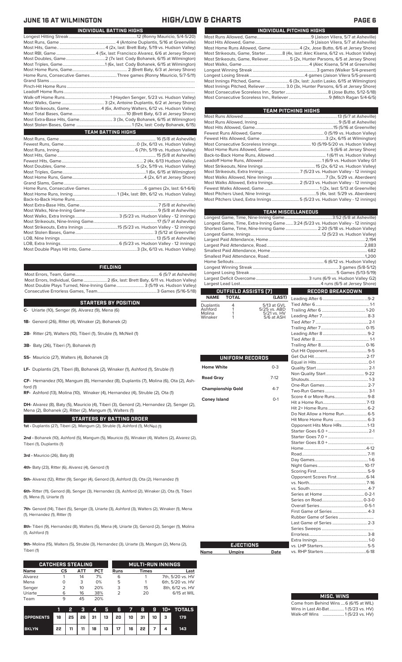| INDIVIDUAL PITCHING HIGHS |                                                                                 |  |  |  |  |  |  |  |  |
|---------------------------|---------------------------------------------------------------------------------|--|--|--|--|--|--|--|--|
|                           |                                                                                 |  |  |  |  |  |  |  |  |
|                           |                                                                                 |  |  |  |  |  |  |  |  |
|                           | Most Home Runs Allowed, Game4 (2x, Jose Butto, 6/6 at Jersey Shore)             |  |  |  |  |  |  |  |  |
|                           | Most Strikeouts, Game, Starter8 (4x, last: Alec Kisena, 6/12 vs. Hudson Valley) |  |  |  |  |  |  |  |  |
|                           | Most Strikeouts, Game, Reliever5 (2x, Hunter Parsons, 6/5 at Jersey Shore)      |  |  |  |  |  |  |  |  |
|                           |                                                                                 |  |  |  |  |  |  |  |  |
|                           |                                                                                 |  |  |  |  |  |  |  |  |
|                           |                                                                                 |  |  |  |  |  |  |  |  |
|                           |                                                                                 |  |  |  |  |  |  |  |  |
|                           | Most Innings Pitched, Reliever  3.0 (3x, Hunter Parsons, 6/5 at Jersey Shore)   |  |  |  |  |  |  |  |  |
|                           |                                                                                 |  |  |  |  |  |  |  |  |
|                           |                                                                                 |  |  |  |  |  |  |  |  |

| TEAM PITCHING HIGHS                                                       |  |
|---------------------------------------------------------------------------|--|
|                                                                           |  |
|                                                                           |  |
|                                                                           |  |
|                                                                           |  |
|                                                                           |  |
|                                                                           |  |
|                                                                           |  |
|                                                                           |  |
|                                                                           |  |
|                                                                           |  |
| Most Strikeouts, Extra Innings 7 (5/23 vs. Hudson Valley - 12 innings)    |  |
|                                                                           |  |
| Most Walks Allowed, Extra Innings 2 (5/23 vs. Hudson Valley - 12 innings) |  |
|                                                                           |  |
|                                                                           |  |
| Most Pitchers Used, Extra Innings5 (5/23 vs. Hudson Valley - 12 innings)  |  |
|                                                                           |  |

|                          |                      |                             | <b>TEAM MISCELLANEOUS</b>                                                        |  |  |  |  |  |  |
|--------------------------|----------------------|-----------------------------|----------------------------------------------------------------------------------|--|--|--|--|--|--|
|                          |                      |                             |                                                                                  |  |  |  |  |  |  |
|                          |                      |                             | Longest Game, Time, Extra-Inning Game 3:24 (5/23 vs. Hudson Valley - 12 innings) |  |  |  |  |  |  |
|                          |                      |                             | Shortest Game, Time, Nine-Inning Game  2:20 (5/18 vs. Hudson Valley)             |  |  |  |  |  |  |
|                          |                      |                             |                                                                                  |  |  |  |  |  |  |
|                          |                      |                             |                                                                                  |  |  |  |  |  |  |
|                          |                      |                             |                                                                                  |  |  |  |  |  |  |
|                          |                      |                             |                                                                                  |  |  |  |  |  |  |
|                          |                      |                             |                                                                                  |  |  |  |  |  |  |
|                          |                      |                             |                                                                                  |  |  |  |  |  |  |
|                          |                      |                             |                                                                                  |  |  |  |  |  |  |
|                          |                      |                             |                                                                                  |  |  |  |  |  |  |
|                          |                      |                             |                                                                                  |  |  |  |  |  |  |
|                          | OUTFIELD ASSISTS (7) |                             | <b>RECORD BREAKDOWN</b>                                                          |  |  |  |  |  |  |
| <b>NAME</b>              | <b>TOTAL</b>         | (LAST)                      |                                                                                  |  |  |  |  |  |  |
| Duplantis                | 4                    | 5/13 at GVL                 |                                                                                  |  |  |  |  |  |  |
| Ashford<br>Molina        | 1<br>1               | 5/25 vs. ABD<br>5/21 vs. HV |                                                                                  |  |  |  |  |  |  |
| Winaker                  | 1                    | 5/6 at ASH                  |                                                                                  |  |  |  |  |  |  |
|                          |                      |                             |                                                                                  |  |  |  |  |  |  |
|                          |                      |                             |                                                                                  |  |  |  |  |  |  |
|                          |                      |                             |                                                                                  |  |  |  |  |  |  |
|                          |                      |                             |                                                                                  |  |  |  |  |  |  |
|                          |                      |                             |                                                                                  |  |  |  |  |  |  |
|                          |                      |                             |                                                                                  |  |  |  |  |  |  |
|                          | UNIFORM RECORDS      |                             |                                                                                  |  |  |  |  |  |  |
| <b>Home White</b>        |                      | $0 - 3$                     |                                                                                  |  |  |  |  |  |  |
|                          |                      |                             |                                                                                  |  |  |  |  |  |  |
| <b>Road Gray</b>         |                      | $7-12$                      |                                                                                  |  |  |  |  |  |  |
|                          |                      |                             |                                                                                  |  |  |  |  |  |  |
| <b>Championship Gold</b> |                      | $4 - 7$                     |                                                                                  |  |  |  |  |  |  |
| <b>Coney Island</b>      |                      | $O-1$                       |                                                                                  |  |  |  |  |  |  |
|                          |                      |                             |                                                                                  |  |  |  |  |  |  |
|                          |                      |                             |                                                                                  |  |  |  |  |  |  |
|                          |                      |                             | Do Not Allow a Home Run 6-5                                                      |  |  |  |  |  |  |
|                          |                      |                             |                                                                                  |  |  |  |  |  |  |
|                          |                      |                             | Opponent Hits More HRs1-13                                                       |  |  |  |  |  |  |
|                          |                      |                             |                                                                                  |  |  |  |  |  |  |
|                          |                      |                             |                                                                                  |  |  |  |  |  |  |
|                          |                      |                             |                                                                                  |  |  |  |  |  |  |
|                          |                      |                             |                                                                                  |  |  |  |  |  |  |
|                          |                      |                             |                                                                                  |  |  |  |  |  |  |
|                          |                      |                             |                                                                                  |  |  |  |  |  |  |
|                          |                      |                             |                                                                                  |  |  |  |  |  |  |
|                          |                      |                             |                                                                                  |  |  |  |  |  |  |
|                          |                      |                             |                                                                                  |  |  |  |  |  |  |
|                          |                      |                             |                                                                                  |  |  |  |  |  |  |
|                          |                      |                             |                                                                                  |  |  |  |  |  |  |
|                          |                      |                             |                                                                                  |  |  |  |  |  |  |
|                          |                      |                             |                                                                                  |  |  |  |  |  |  |
|                          |                      |                             |                                                                                  |  |  |  |  |  |  |
|                          |                      |                             |                                                                                  |  |  |  |  |  |  |
|                          |                      |                             |                                                                                  |  |  |  |  |  |  |
|                          |                      |                             |                                                                                  |  |  |  |  |  |  |
|                          |                      |                             |                                                                                  |  |  |  |  |  |  |
|                          | <b>EJECTIONS</b>     |                             |                                                                                  |  |  |  |  |  |  |
| Name                     | <b>Umpire</b>        | Date                        |                                                                                  |  |  |  |  |  |  |
|                          |                      |                             |                                                                                  |  |  |  |  |  |  |

**Name** 

| <b>MISC. WINS</b>                     |
|---------------------------------------|
| Come from Behind Wins 6 (6/15 at WIL) |

Wins in Last At-Bat.............. 1 (5/23 vs. HV) Walk-off Wins .................... 1 (5/23 vs. HV)

L

**JUNE 16 AT WILMINGTON HIGH/LOW & CHARTS PAGE 6**

| INDIVIDUAL BATTING HIGHS                                                |
|-------------------------------------------------------------------------|
|                                                                         |
|                                                                         |
|                                                                         |
|                                                                         |
|                                                                         |
|                                                                         |
|                                                                         |
| Home Runs, Consecutive Games Three games (Ronny Mauricio, 5/7-5/11)     |
|                                                                         |
|                                                                         |
|                                                                         |
|                                                                         |
|                                                                         |
|                                                                         |
|                                                                         |
| Most Extra-Base Hits, Game 3 (3x, Cody Bohanek, 6/15 at Wilmington)     |
|                                                                         |
| <b>TEAM BATTING HIGHS</b>                                               |
|                                                                         |
|                                                                         |
|                                                                         |
|                                                                         |
|                                                                         |
|                                                                         |
|                                                                         |
|                                                                         |
|                                                                         |
|                                                                         |
|                                                                         |
|                                                                         |
|                                                                         |
|                                                                         |
|                                                                         |
|                                                                         |
| Most Strikeouts, Extra Innings 15 (5/23 vs. Hudson Valley - 12 innings) |
|                                                                         |
|                                                                         |
|                                                                         |
|                                                                         |

### **FIELDING**

Most Errors, Team, Game...............................................................................6 (5/7 at Asheville) .<br>2 (6x, last: Brett Baty, 6/11 vs. Hudson Valley)<br>3 (5/19 vs. Hudson Valley) Most Double Plays Turned, Nine-Inning Game.......................... 3 (5/19 vs. Hudson Valley) Consecutive Errorless Games, Team.

### **STARTERS BY POSITION**

**C-** Uriarte (10), Senger (9), Alvarez (9), Mena (6)

**1B-** Genord (26), Ritter (4), Winaker (2), Bohanek (2)

**2B-** Ritter (21), Walters (10), Tiberi (1), Struble (1), McNeil (1)

**3B-** Baty (26), Tiberi (7), Bohanek (1)

**SS-** Mauricio (27), Walters (4), Bohanek (3)

**LF-** Duplantis (21), Tiberi (8), Bohanek (2), Winaker (1), Ashford (1), Struble (1)

**CF-** Hernandez (10), Mangum (8), Hernandez (8), Duplantis (7), Molina (6), Ota (2), Ash-

**RF-** Ashford (13), Molina (10), Winaker (4), Hernandez (4), Struble (2), Ota (1)

**DH-** Alvarez (8), Baty (5), Mauricio (4), Tiberi (3), Genord (2), Hernandez (2), Senger (2), Mena (2), Bohanek (2), Ritter (2), Mangum (1), Walters (1)

**STARTERS BY BATTING ORDER 1st -** Duplantis (27), Tiberi (2), Mangum (2), Struble (1), Ashford (1), McNeil (1)

**2nd -** Bohanek (10), Ashford (5), Mangum (5), Mauricio (5), Winaker (4), Walters (2), Alvarez (2),

**3rd -** Mauricio (26), Baty (8)

Tiberi (1), Duplantis (1)

ford (1)

**4th-** Baty (23), Ritter (6), Alvarez (4), Genord (1)

**5th-** Alvarez (12), Ritter (9), Senger (4), Genord (3), Ashford (3), Ota (2), Hernandez (1)

**6th-** Ritter (11), Genord (8), Senger (3), Hernandez (3), Ashford (2), Winaker (2), Ota (1), Tiberi (1), Mena (1), Uriarte (1)

**7th-** Genord (14), Tiberi (5), Senger (3), Uriarte (3), Ashford (3), Walters (2), Winaker (1), Mena (1), Hernandez (1), Ritter (1)

**8th-** Tiberi (9), Hernandez (8), Walters (5), Mena (4), Uriarte (3), Genord (2), Senger (1), Molina (1), Ashford (1)

**9th-** Molina (15), Walters (5), Struble (3), Hernandez (3), Uriarte (3), Mangum (2), Mena (2), Tiberi (1)

|             | <b>CATCHERS STEALING</b> |     |            |      | <b>MULTI-RUN INNINGS</b> |                  |  |  |
|-------------|--------------------------|-----|------------|------|--------------------------|------------------|--|--|
| <b>Name</b> | СS                       | АТТ | <b>PCT</b> | Runs | <b>Times</b>             | Last             |  |  |
| Alvarez     |                          | 14  | 7%         | 6    |                          | 7th, 5/20 vs. HV |  |  |
| Mena        |                          | 3   | 0%         | 5    |                          | 6th, 5/20 vs. HV |  |  |
| Senger      | 2                        | 10  | 20%        | 3    | 15                       | 8th, 6/12 vs. HV |  |  |
| Uriarte     | 6                        | 16  | 38%        |      | 20                       | 6/15 at WIL      |  |  |
| Team        | 9                        | 45  | 20%        |      |                          |                  |  |  |

|                  |    | 2  | в  | 4  | п  | B  |    | 8       | NG. |   | 10+ TOTALS |
|------------------|----|----|----|----|----|----|----|---------|-----|---|------------|
| <b>OPPONENTS</b> | 18 | 25 | 26 | 31 | 13 | 20 |    | 10   31 | 10  | з | 179        |
| <b>BKLYN</b>     | 22 | 11 | 11 | 18 | 13 | 17 | 16 | 22      |     |   | 143        |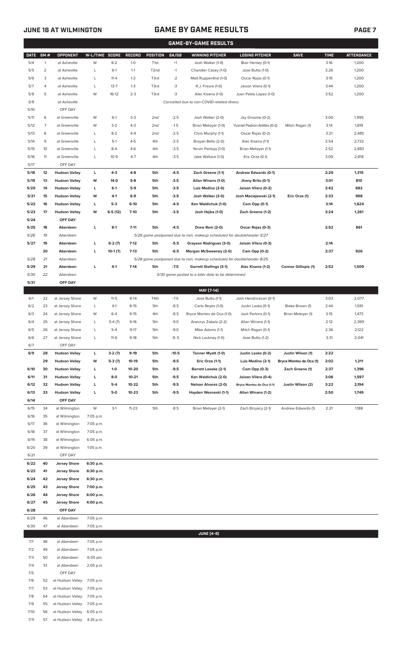# **JUNE 16 AT WILMINGTON GAME BY GAME RESULTS PAGE 7**

|              |              |                                    |                        |                 |                  |                   |                  | <b>GAME-BY-GAME RESULTS</b>                                             |                                       |                             |              |                   |
|--------------|--------------|------------------------------------|------------------------|-----------------|------------------|-------------------|------------------|-------------------------------------------------------------------------|---------------------------------------|-----------------------------|--------------|-------------------|
| <b>DATE</b>  | GM#          | <b>OPPONENT</b>                    | W-L/TIME SCORE         |                 | <b>RECORD</b>    | POSITION          | GA/GB            | <b>WINNING PITCHER</b>                                                  | <b>LOSING PITCHER</b>                 | <b>SAVE</b>                 | <b>TIME</b>  | <b>ATTENDANCE</b> |
| 5/4          | $\mathbf{1}$ | at Asheville                       | W                      | $8 - 2$         | $1 - 0$          | T <sub>1st</sub>  | $+1$             | Josh Walker (1-0)                                                       | Blair Henley (0-1)                    |                             | 3:16         | 1,200             |
| 5/5          | 2            | at Asheville                       | L                      | $6-1$           | $1 - 1$          | T <sub>2</sub> nd | $-1$             | Chandler Casey (1-0)                                                    | Jose Butto (1-0)                      |                             | 3:26         | 1,200             |
| 5/6          | 3            | at Asheville                       | L                      | $11 - 4$        | $1 - 2$          | T3rd              | $-2$             | Matt Ruppenthal (1-0)                                                   | Oscar Rojas (0-1)                     |                             | 3:10         | 1,200             |
| 5/7          | 4            | at Asheville                       | L                      | $13 - 7$        | $1 - 3$          | T3rd              | -3               | R.J. Freure (1-0)                                                       | Jaison Vilera (0-1)                   |                             | 3:44         | 1,200             |
| 5/8          | 5            | at Asheville                       | W                      | $16-12$         | $2 - 3$          | T3rd              | -3               | Alec Kisena (1-0)                                                       | Juan Pablo Lopez (1-0)                |                             | 3:52         | 1,200             |
| 5/9<br>5/10  |              | at Asheville<br>OFF DAY            |                        |                 |                  |                   |                  | Cancelled due to non-COVID-related illness                              |                                       |                             |              |                   |
| 5/11         | 6            | at Greenville                      | W                      | $6-1$           | $3-3$            | 2 <sub>nd</sub>   | $-2.5$           | Josh Walker (2-0)                                                       | Jay Groome (0-2)                      |                             | 3:00         | 1,995             |
| 5/12         | 7            | at Greenville                      | W                      | $3-2$           | $4-3$            | 2 <sub>nd</sub>   | $-1.5$           | Brian Metoyer (1-0)                                                     | Yusniel Padron-Artilles (0-2)         | Mitch Ragan (1)             | 3:14         | 1,819             |
| 5/13         | 8            | at Greenville                      | Г                      | $8 - 2$         | $4 - 4$          | 2 <sub>nd</sub>   | $-2.5$           | Chris Murphy (1-1)                                                      | Oscar Rojas (0-2)                     |                             | 3:21         | 2,485             |
| 5/14         | 9            | at Greenville                      | Г                      | $5-1$           | $4 - 5$          | 4th               | $-2.5$           | Brayan Bello (2-0)                                                      | Alec Kisena (1-1)                     |                             | 2:54         | 2,732             |
| 5/15         | 10           | at Greenville                      | Г                      | $8-4$           | $4-6$            | 4th               | $-3.5$           | Yorvin Pantoja (1-0)                                                    | Brian Metoyer (1-1)                   |                             | 2:52         | 2,883             |
| 5/16         | 11           | at Greenville                      | L                      | $10-9$          | $4 - 7$          | 4th               | $-3.5$           | Jake Wallace (1-0)                                                      | Eric Orze (0-1)                       |                             | 3:09         | 2,818             |
| 5/17         |              | OFF DAY                            |                        |                 |                  |                   |                  |                                                                         |                                       |                             |              |                   |
| 5/18         | 12           | <b>Hudson Valley</b>               | г                      | 4-3             | $4 - 8$          | 5th               | $-4.5$           | Zach Greene (1-1)                                                       | Andrew Edwards (0-1)                  |                             | 2:29         | 1,315             |
| 5/19         | 13           | <b>Hudson Valley</b>               | w                      | 14-0            | $5-8$            | 5th               | $-3.5$           | Allan Winans (1-0)                                                      | Jhony Brito (0-1)                     |                             | 3:01         | 810               |
| 5/20         | 14           | <b>Hudson Valley</b>               | L                      | $6-1$           | $5-9$            | 5th               | $-3.5$           | Luis Medina (2-0)                                                       | Jaison Vilera (0-2)                   |                             | 2:42         | 682               |
| 5/21         | 15           | <b>Hudson Valley</b>               | w                      | 4-1             | $6-9$            | 5th               | $-3.5$           | Josh Walker (3-0)                                                       | Josh Maciejewski (2-1)                | Eric Orze (1)               | 2:33         | 998               |
| 5/22         | 16           | <b>Hudson Valley</b>               | L                      | 5-3             | $6-10$           | 5th               | $-4.5$           | Ken Waldichuk (1-0)                                                     | Cam Opp (0-1)                         |                             | 3:14         | 1,624             |
| 5/23         | 17           | <b>Hudson Valley</b>               | w                      | $6-5(12)$       | $7 - 10$         | 5th               | $-3.5$           | Josh Hejka (1-0)                                                        | Zach Greene (1-2)                     |                             | 3:24         | 1,261             |
| 5/24<br>5/25 | 18           | OFF DAY<br>Aberdeen                | г                      | $8-1$           | $7 - 11$         | 5th               | $-4.5$           | Drew Rom (2-0)                                                          | Oscar Rojas (0-3)                     |                             | 2:52         | 861               |
| 5/26         | 19           | Aberdeen                           |                        |                 |                  |                   |                  | 5/26 game postponed due to rain, makeup scheduled for doubleheader 5/27 |                                       |                             |              |                   |
| 5/27         | 19           | Aberdeen                           | г                      | $6-2(7)$        | $7-12$           | 5th               | $-5.5$           | Grayson Rodriguez (3-0)                                                 | Jaison Vilera (0-3)                   |                             | 2:14         |                   |
|              | 20           | Aberdeen                           | г                      | $10-1(7)$       | $7-13$           | 5th               | $-6.5$           | Morgan McSweeney (2-0)                                                  | Cam Opp (0-2)                         |                             | 2:37         | 926               |
| 5/28         | 21           | Aberdeen                           |                        |                 |                  |                   |                  | 5/28 game postponed due to rain, makeup scheduled for doubleheader 8/25 |                                       |                             |              |                   |
| 5/29         | 21           | Aberdeen                           | г                      | $4-1$           | $7-14$           | 5th               | $-7.5$           | <b>Garrett Stallings (3-1)</b>                                          | Alec Kisena (1-2)                     | <b>Connor Gillispie (1)</b> | 2:52         | 1,509             |
| 5/30         | 22           | Aberdeen                           |                        |                 |                  |                   |                  | 5/30 game posted to a later date to be determined                       |                                       |                             |              |                   |
| 5/31         |              | OFF DAY                            |                        |                 |                  |                   |                  |                                                                         |                                       |                             |              |                   |
|              |              |                                    |                        |                 |                  |                   |                  | MAY [7-14]                                                              |                                       |                             |              |                   |
| 6/1          | 22           | at Jersey Shore                    | W                      | $11-5$          | $8-14$           | T4th              | $-7.5$           | Jose Butto (1-1)                                                        | Josh Hendrickson (0-1)                |                             | 3:03         | 2,077             |
| 6/2          | 23           | at Jersey Shore                    | L                      | $4-1$           | $8 - 15$         | 5th               | $-8.5$           | Carlo Reyes (1-0)                                                       | Justin Lasko (0-1)                    | Blake Brown (1)             | 2:44         | 1,591             |
| 6/3          | 24           | at Jersey Shore                    | W                      | $6 - 4$         | $9 - 15$         | 4th               | $-8.5$           | Bryce Montes de Oca (1-0)                                               | Jack Perkins (0-1)                    | Brian Metoyer (1)           | 3:15         | 1,473             |
| 6/4          | 25           | at Jersey Shore                    | L                      | $5-4(7)$        | $9 - 16$         | 5th               | $-9.0$           | Aneurys Zabala (2-2)                                                    | Allan Winans (1-1)                    |                             | 2:12         | 2,399             |
| 6/5<br>6/6   | 26<br>27     | at Jersey Shore<br>at Jersey Shore | L                      | $5-4$<br>$11-6$ | $9-17$<br>$9-18$ | 5th<br>5th        | $-9.0$<br>$-9.5$ | Mike Adams (1-1)<br>Nick Lackney (1-0)                                  | Mitch Ragan (0-1)<br>Jose Butto (1-2) |                             | 2:36<br>3:31 | 2,122<br>2,041    |
| 6/7          |              | OFF DAY                            |                        |                 |                  |                   |                  |                                                                         |                                       |                             |              |                   |
| 6/9          | 28           | <b>Hudson Valley</b>               | L                      | $3-2(7)$        | $9-19$           | 5th               | $-10.5$          | Tanner Myatt (1-0)                                                      | Justin Lasko (0-2)                    | Justin Wilson (1)           | 2:22         |                   |
|              | 29           | <b>Hudson Valley</b>               | W                      | $5-3(7)$        | 10-19            | 5th               | $-9.5$           | Eric Orze (1-1)                                                         | Luis Medina (2-1)                     | Bryce Montes de Oca (1)     | 2:02         | 1,211             |
| 6/10         | 30           | <b>Hudson Valley</b>               | L.                     | $1 - 0$         | 10-20            | 5th               | $-9.5$           | <b>Barrett Loseke (2-1)</b>                                             | Cam Opp (0-3)                         | Zach Greene (1)             | 2:37         | 1,396             |
| 6/11         | 31           | <b>Hudson Valley</b>               | L.                     | 8-0             | $10 - 21$        | 5th               | $-9.5$           | Ken Waldichuk (2-0)                                                     | Jaison Vilera (0-4)                   |                             | 3:06         | 1,597             |
| 6/12         | 32           | <b>Hudson Valley</b>               | L.                     | $5-4$           | 10-22            | 5th               | $-9.5$           | <b>Nelson Alvarez (2-0)</b>                                             | Bryce Montes de Oca (1-1)             | Justin Wilson (2)           | 3:22         | 2,194             |
| 6/13         | 33           | <b>Hudson Valley</b>               | L                      | 5-0             | 10-23            | 5th               | $-9.5$           | Hayden Wesneski (1-1)                                                   | Allan Winans (1-2)                    |                             | 2:50         | 1,749             |
| 6/14         |              | OFF DAY                            |                        |                 |                  |                   |                  |                                                                         |                                       |                             |              |                   |
| 6/15         | 34           | at Wilmington                      | W                      | $3-1$           | $11 - 23$        | 5th               | $-8.5$           | Brian Metoyer (2-1)                                                     | Zach Brzykcy (2-1)                    | Andrew Edwards (1)          | 2:21         | 1,188             |
| 6/16         | 35           | at Wilmington                      | 7:05 p.m.              |                 |                  |                   |                  |                                                                         |                                       |                             |              |                   |
| 6/17         | 36           | at Wilmington                      | 7:05 p.m.              |                 |                  |                   |                  |                                                                         |                                       |                             |              |                   |
| 6/18<br>6/19 | 37<br>38     | at Wilmington<br>at Wilmington     | 7:05 p.m.<br>6:05 p.m. |                 |                  |                   |                  |                                                                         |                                       |                             |              |                   |
| 6/20         | 39           | at Wilmington                      | 1:05 p.m.              |                 |                  |                   |                  |                                                                         |                                       |                             |              |                   |
| 6/21         |              | OFF DAY                            |                        |                 |                  |                   |                  |                                                                         |                                       |                             |              |                   |
| 6/22         | 40           | <b>Jersey Shore</b>                | 6:30 p.m.              |                 |                  |                   |                  |                                                                         |                                       |                             |              |                   |
| 6/23         | 41           | <b>Jersey Shore</b>                | 6:30 p.m.              |                 |                  |                   |                  |                                                                         |                                       |                             |              |                   |
| 6/24         | 42           | <b>Jersey Shore</b>                | 6:30 p.m.              |                 |                  |                   |                  |                                                                         |                                       |                             |              |                   |
| 6/25         | 43           | <b>Jersey Shore</b>                | 7:00 p.m.              |                 |                  |                   |                  |                                                                         |                                       |                             |              |                   |
| 6/26         | 44           | <b>Jersey Shore</b>                | 6:00 p.m.              |                 |                  |                   |                  |                                                                         |                                       |                             |              |                   |
| 6/27         | 45           | <b>Jersey Shore</b>                | 4:00 p.m.              |                 |                  |                   |                  |                                                                         |                                       |                             |              |                   |
| 6/28         |              | OFF DAY                            |                        |                 |                  |                   |                  |                                                                         |                                       |                             |              |                   |
| 6/29         | 46           | at Aberdeen                        | 7:05 p.m.              |                 |                  |                   |                  |                                                                         |                                       |                             |              |                   |
| 6/30         | 47           | at Aberdeen                        | 7:05 p.m.              |                 |                  |                   |                  |                                                                         |                                       |                             |              |                   |
| 7/1          | 48           | at Aberdeen                        | 7:05 p.m.              |                 |                  |                   |                  | <b>JUNE [4-9]</b>                                                       |                                       |                             |              |                   |
| 7/2          | 49           | at Aberdeen                        | 7:05 p.m.              |                 |                  |                   |                  |                                                                         |                                       |                             |              |                   |
| 7/3          | 50           | at Aberdeen                        | 6:05 pm.               |                 |                  |                   |                  |                                                                         |                                       |                             |              |                   |
| 7/4          | 51           | at Aberdeen                        | 2:05 p.m.              |                 |                  |                   |                  |                                                                         |                                       |                             |              |                   |
| 7/5          |              | OFF DAY                            |                        |                 |                  |                   |                  |                                                                         |                                       |                             |              |                   |
| 7/6          | 52           | at Hudson Valley                   | 7:05 p.m.              |                 |                  |                   |                  |                                                                         |                                       |                             |              |                   |
| 7/7          | 53           | at Hudson Valley 7:05 p.m.         |                        |                 |                  |                   |                  |                                                                         |                                       |                             |              |                   |

7/8 54 at Hudson Valley 7:05 p.m. 7/9 55 at Hudson Valley 7:05 p.m. 7/10 56 at Hudson Valley 6:05 p.m.

7/11 57 at Hudson Valley 4:35 p.m.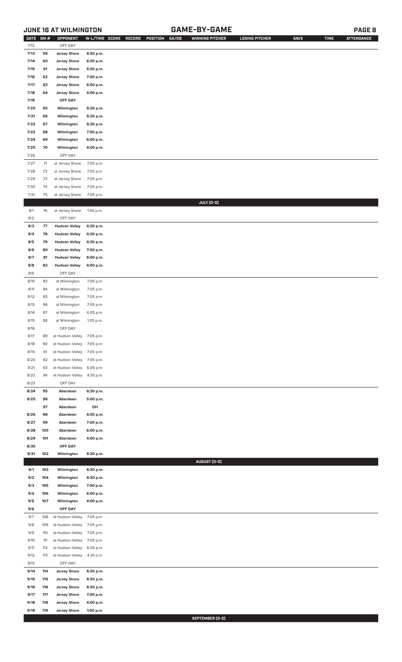# **JUNE 16 AT WILMINGTON GAME-BY-GAME PAGE 8**

| DATE         | GM#        | OPPONENT                                   | W-L/TIME SCORE         | RECORD<br>POSITION<br>GA/GB | <b>WINNING PITCHER</b> | <b>LOSING PITCHER</b> | <b>SAVE</b> | <b>TIME</b> | <b>ATTENDANCE</b> |
|--------------|------------|--------------------------------------------|------------------------|-----------------------------|------------------------|-----------------------|-------------|-------------|-------------------|
| 7/12         |            | OFF DAY                                    |                        |                             |                        |                       |             |             |                   |
| 7/13         | 59         | <b>Jersey Shore</b>                        | 6:30 p.m.              |                             |                        |                       |             |             |                   |
| 7/14         | 60         | <b>Jersey Shore</b>                        | 6:30 p.m.              |                             |                        |                       |             |             |                   |
| 7/15         | 61         | <b>Jersey Shore</b>                        | 6:30 p.m.              |                             |                        |                       |             |             |                   |
| 7/16         | 62         | <b>Jersey Shore</b>                        | 7:00 p.m.              |                             |                        |                       |             |             |                   |
| 7/17         | 63         | <b>Jersey Shore</b>                        | 6:00 p.m.              |                             |                        |                       |             |             |                   |
| 7/18         | 64         | <b>Jersey Shore</b>                        | 4:00 p.m.              |                             |                        |                       |             |             |                   |
| 7/19         |            | OFF DAY                                    |                        |                             |                        |                       |             |             |                   |
|              |            |                                            |                        |                             |                        |                       |             |             |                   |
| 7/20         | 65         | Wilmington                                 | 6:30 p.m.              |                             |                        |                       |             |             |                   |
| 7/21         | 66         | Wilmington                                 | 6:30 p.m.              |                             |                        |                       |             |             |                   |
| 7/22         | 67         | Wilmington                                 | 6:30 p.m.              |                             |                        |                       |             |             |                   |
| 7/23         | 68         | Wilmington                                 | 7:00 p.m.              |                             |                        |                       |             |             |                   |
| 7/24         | 69         | Wilmington                                 | 6:00 p.m.              |                             |                        |                       |             |             |                   |
| 7/25         | 70         | Wilmington                                 | 4:00 p.m.              |                             |                        |                       |             |             |                   |
| 7/26         |            | OFF DAY                                    |                        |                             |                        |                       |             |             |                   |
| 7/27         | $71$       | at Jersey Shore                            | 7:05 p.m.              |                             |                        |                       |             |             |                   |
| $7/28$       | 72         | at Jersey Shore                            | 7:05 p.m.              |                             |                        |                       |             |             |                   |
| 7/29         | 73         | at Jersey Shore                            | 7:05 p.m.              |                             |                        |                       |             |             |                   |
| 7/30         | 74         | at Jersey Shore                            | 7:05 p.m.              |                             |                        |                       |             |             |                   |
| 7/31         | 75         | at Jersey Shore                            | 7:05 p.m.              |                             |                        |                       |             |             |                   |
|              |            |                                            |                        |                             | JULY (0-0)             |                       |             |             |                   |
| 8/1          | 76         | at Jersey Shore                            | 1:05 p.m.              |                             |                        |                       |             |             |                   |
| 8/2          |            | OFF DAY                                    |                        |                             |                        |                       |             |             |                   |
| 8/3          | 77         | <b>Hudson Valley</b>                       | 6:30 p.m.              |                             |                        |                       |             |             |                   |
| 8/4          | 78         | <b>Hudson Valley</b>                       | 6:30 p.m.              |                             |                        |                       |             |             |                   |
| 8/5          | 79         | <b>Hudson Valley</b>                       | 6:30 p.m.              |                             |                        |                       |             |             |                   |
| 8/6          | 80         | <b>Hudson Valley</b>                       | 7:00 p.m.              |                             |                        |                       |             |             |                   |
| 8/7          | 81         | <b>Hudson Valley</b>                       | 6:00 p.m.              |                             |                        |                       |             |             |                   |
| 8/8          |            |                                            |                        |                             |                        |                       |             |             |                   |
| 8/9          | 82         | <b>Hudson Valley</b><br>OFF DAY            | 4:00 p.m.              |                             |                        |                       |             |             |                   |
|              |            |                                            |                        |                             |                        |                       |             |             |                   |
| 8/10         | 83         | at Wilmington                              | 7:05 p.m.              |                             |                        |                       |             |             |                   |
| 8/11         | 84         | at Wilmington                              | 7:05 p.m.              |                             |                        |                       |             |             |                   |
| 8/12         | 85         | at Wilmington                              | 7:05 p.m.              |                             |                        |                       |             |             |                   |
| 8/13         | 86         | at Wilmington                              | 7:05 p.m.              |                             |                        |                       |             |             |                   |
| 8/14         | 87         | at Wilmington                              | 6:05 p.m.              |                             |                        |                       |             |             |                   |
| 8/15         | 88         | at Wilmington                              | 1:05 p.m.              |                             |                        |                       |             |             |                   |
| 8/16         |            | OFF DAY                                    |                        |                             |                        |                       |             |             |                   |
| 8/17         | 89         | at Hudson Valley 7:05 p.m.                 |                        |                             |                        |                       |             |             |                   |
| 8/18         | 90         | at Hudson Valley                           | 7:05 p.m.              |                             |                        |                       |             |             |                   |
| 8/19         | 91         | at Hudson Valley                           | 7:05 p.m.              |                             |                        |                       |             |             |                   |
| 8/20         | 92         | at Hudson Valley                           | 7:05 p.m.              |                             |                        |                       |             |             |                   |
| 8/21         | 93         | at Hudson Valley                           | 6:05 p.m.              |                             |                        |                       |             |             |                   |
| 8/22         | 94         | at Hudson Valley                           | 4:35 p.m.              |                             |                        |                       |             |             |                   |
| 8/23         |            | OFF DAY                                    |                        |                             |                        |                       |             |             |                   |
| 8/24         | 95         | Aberdeen                                   | 6:30 p.m.              |                             |                        |                       |             |             |                   |
| 8/25         | 96         | Aberdeen                                   | 5:00 p.m.              |                             |                        |                       |             |             |                   |
|              | 97         | Aberdeen                                   | DH                     |                             |                        |                       |             |             |                   |
| 8/26         | 98         | Aberdeen                                   | 6:30 p.m.              |                             |                        |                       |             |             |                   |
| 8/27         | 99         | Aberdeen                                   | 7:00 p.m.              |                             |                        |                       |             |             |                   |
| 8/28         | 100        | Aberdeen                                   | 6:00 p.m.              |                             |                        |                       |             |             |                   |
| 8/29         | 101        | Aberdeen                                   | 4:00 p.m.              |                             |                        |                       |             |             |                   |
| 8/30         |            | OFF DAY                                    |                        |                             |                        |                       |             |             |                   |
| 8/31         | 102        | Wilmington                                 | 6:30 p.m.              |                             |                        |                       |             |             |                   |
|              |            |                                            |                        |                             | AUGUST (0-0)           |                       |             |             |                   |
| 9/1          | 103        | Wilmington                                 | 6:30 p.m.              |                             |                        |                       |             |             |                   |
| 9/2          | 104        | Wilmington                                 | 6:30 p.m.              |                             |                        |                       |             |             |                   |
| 9/3          | 105        | Wilmington                                 | 7:00 p.m.              |                             |                        |                       |             |             |                   |
| 9/4          | 106        | Wilmington                                 | 6:00 p.m.              |                             |                        |                       |             |             |                   |
| 9/5          | 107        | Wilmington                                 | 4:00 p.m.              |                             |                        |                       |             |             |                   |
| 9/6          |            | OFF DAY                                    |                        |                             |                        |                       |             |             |                   |
| 9/7          | 108        | at Hudson Valley                           | 7:05 p.m.              |                             |                        |                       |             |             |                   |
| 9/8          | 109        | at Hudson Valley                           | 7:05 p.m.              |                             |                        |                       |             |             |                   |
| 9/9          | 110        | at Hudson Valley                           | 7:05 p.m.              |                             |                        |                       |             |             |                   |
| 9/10         | 111        | at Hudson Valley                           | 7:05 p.m.              |                             |                        |                       |             |             |                   |
| 9/11         | 112        | at Hudson Valley                           | 6:05 p.m.              |                             |                        |                       |             |             |                   |
| 9/12         | 113        | at Hudson Valley                           | 4:35 p.m.              |                             |                        |                       |             |             |                   |
| 9/13         |            | OFF DAY                                    |                        |                             |                        |                       |             |             |                   |
| 9/14         | 114        | <b>Jersey Shore</b>                        | 6:30 p.m.              |                             |                        |                       |             |             |                   |
| 9/15         | 115        |                                            | 6:30 p.m.              |                             |                        |                       |             |             |                   |
|              |            | <b>Jersey Shore</b>                        | 6:30 p.m.              |                             |                        |                       |             |             |                   |
| 9/16         | 116        | <b>Jersey Shore</b>                        |                        |                             |                        |                       |             |             |                   |
| 9/17<br>9/18 | 117        | <b>Jersey Shore</b>                        | 7:00 p.m.<br>4:00 p.m. |                             |                        |                       |             |             |                   |
| 9/19         | 118<br>119 | <b>Jersey Shore</b><br><b>Jersey Shore</b> | 1:00 p.m.              |                             |                        |                       |             |             |                   |
|              |            |                                            |                        |                             |                        |                       |             |             |                   |

**SEPTEMBER (0-0)**